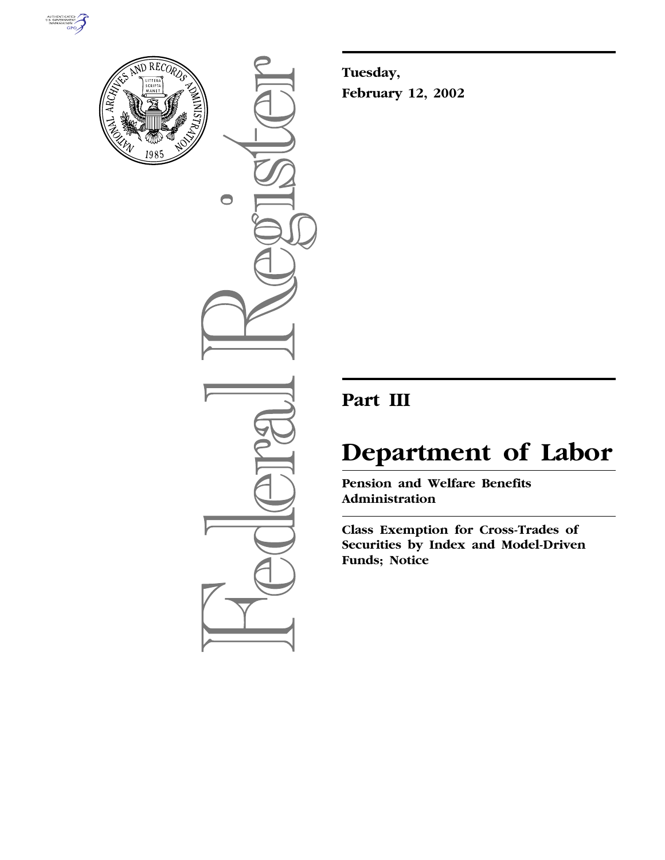



 $\bigcirc$ 

**Tuesday, February 12, 2002**

# **Part III**

# **Department of Labor**

**Pension and Welfare Benefits Administration**

**Class Exemption for Cross-Trades of Securities by Index and Model-Driven Funds; Notice**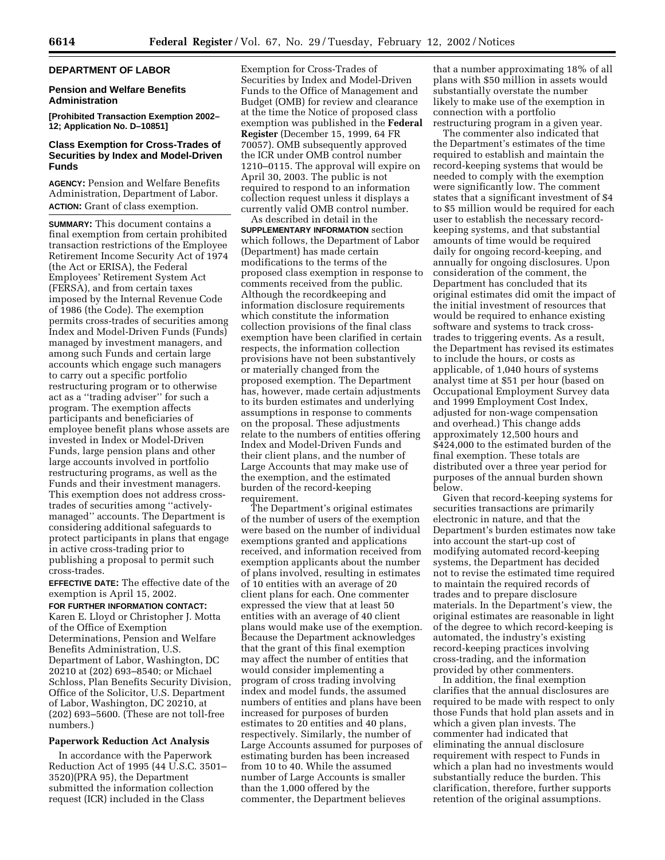# **DEPARTMENT OF LABOR**

# **Pension and Welfare Benefits Administration**

**[Prohibited Transaction Exemption 2002– 12; Application No. D–10851]**

# **Class Exemption for Cross-Trades of Securities by Index and Model-Driven Funds**

**AGENCY:** Pension and Welfare Benefits Administration, Department of Labor. **ACTION:** Grant of class exemption.

**SUMMARY:** This document contains a final exemption from certain prohibited transaction restrictions of the Employee Retirement Income Security Act of 1974 (the Act or ERISA), the Federal Employees' Retirement System Act (FERSA), and from certain taxes imposed by the Internal Revenue Code of 1986 (the Code). The exemption permits cross-trades of securities among Index and Model-Driven Funds (Funds) managed by investment managers, and among such Funds and certain large accounts which engage such managers to carry out a specific portfolio restructuring program or to otherwise act as a ''trading adviser'' for such a program. The exemption affects participants and beneficiaries of employee benefit plans whose assets are invested in Index or Model-Driven Funds, large pension plans and other large accounts involved in portfolio restructuring programs, as well as the Funds and their investment managers. This exemption does not address crosstrades of securities among ''activelymanaged'' accounts. The Department is considering additional safeguards to protect participants in plans that engage in active cross-trading prior to publishing a proposal to permit such cross-trades.

**EFFECTIVE DATE:** The effective date of the exemption is April 15, 2002.

#### **FOR FURTHER INFORMATION CONTACT:**

Karen E. Lloyd or Christopher J. Motta of the Office of Exemption Determinations, Pension and Welfare Benefits Administration, U.S. Department of Labor, Washington, DC 20210 at (202) 693–8540; or Michael Schloss, Plan Benefits Security Division, Office of the Solicitor, U.S. Department of Labor, Washington, DC 20210, at (202) 693–5600. (These are not toll-free numbers.)

#### **Paperwork Reduction Act Analysis**

In accordance with the Paperwork Reduction Act of 1995 (44 U.S.C. 3501– 3520)(PRA 95), the Department submitted the information collection request (ICR) included in the Class

Exemption for Cross-Trades of Securities by Index and Model-Driven Funds to the Office of Management and Budget (OMB) for review and clearance at the time the Notice of proposed class exemption was published in the **Federal Register** (December 15, 1999, 64 FR 70057). OMB subsequently approved the ICR under OMB control number 1210–0115. The approval will expire on April 30, 2003. The public is not required to respond to an information collection request unless it displays a currently valid OMB control number.

As described in detail in the **SUPPLEMENTARY INFORMATION** section which follows, the Department of Labor (Department) has made certain modifications to the terms of the proposed class exemption in response to comments received from the public. Although the recordkeeping and information disclosure requirements which constitute the information collection provisions of the final class exemption have been clarified in certain respects, the information collection provisions have not been substantively or materially changed from the proposed exemption. The Department has, however, made certain adjustments to its burden estimates and underlying assumptions in response to comments on the proposal. These adjustments relate to the numbers of entities offering Index and Model-Driven Funds and their client plans, and the number of Large Accounts that may make use of the exemption, and the estimated burden of the record-keeping requirement.

The Department's original estimates of the number of users of the exemption were based on the number of individual exemptions granted and applications received, and information received from exemption applicants about the number of plans involved, resulting in estimates of 10 entities with an average of 20 client plans for each. One commenter expressed the view that at least 50 entities with an average of 40 client plans would make use of the exemption. Because the Department acknowledges that the grant of this final exemption may affect the number of entities that would consider implementing a program of cross trading involving index and model funds, the assumed numbers of entities and plans have been increased for purposes of burden estimates to 20 entities and 40 plans, respectively. Similarly, the number of Large Accounts assumed for purposes of estimating burden has been increased from 10 to 40. While the assumed number of Large Accounts is smaller than the 1,000 offered by the commenter, the Department believes

that a number approximating 18% of all plans with \$50 million in assets would substantially overstate the number likely to make use of the exemption in connection with a portfolio restructuring program in a given year.

The commenter also indicated that the Department's estimates of the time required to establish and maintain the record-keeping systems that would be needed to comply with the exemption were significantly low. The comment states that a significant investment of \$4 to \$5 million would be required for each user to establish the necessary recordkeeping systems, and that substantial amounts of time would be required daily for ongoing record-keeping, and annually for ongoing disclosures. Upon consideration of the comment, the Department has concluded that its original estimates did omit the impact of the initial investment of resources that would be required to enhance existing software and systems to track crosstrades to triggering events. As a result, the Department has revised its estimates to include the hours, or costs as applicable, of 1,040 hours of systems analyst time at \$51 per hour (based on Occupational Employment Survey data and 1999 Employment Cost Index, adjusted for non-wage compensation and overhead.) This change adds approximately 12,500 hours and \$424,000 to the estimated burden of the final exemption. These totals are distributed over a three year period for purposes of the annual burden shown below.

Given that record-keeping systems for securities transactions are primarily electronic in nature, and that the Department's burden estimates now take into account the start-up cost of modifying automated record-keeping systems, the Department has decided not to revise the estimated time required to maintain the required records of trades and to prepare disclosure materials. In the Department's view, the original estimates are reasonable in light of the degree to which record-keeping is automated, the industry's existing record-keeping practices involving cross-trading, and the information provided by other commenters.

In addition, the final exemption clarifies that the annual disclosures are required to be made with respect to only those Funds that hold plan assets and in which a given plan invests. The commenter had indicated that eliminating the annual disclosure requirement with respect to Funds in which a plan had no investments would substantially reduce the burden. This clarification, therefore, further supports retention of the original assumptions.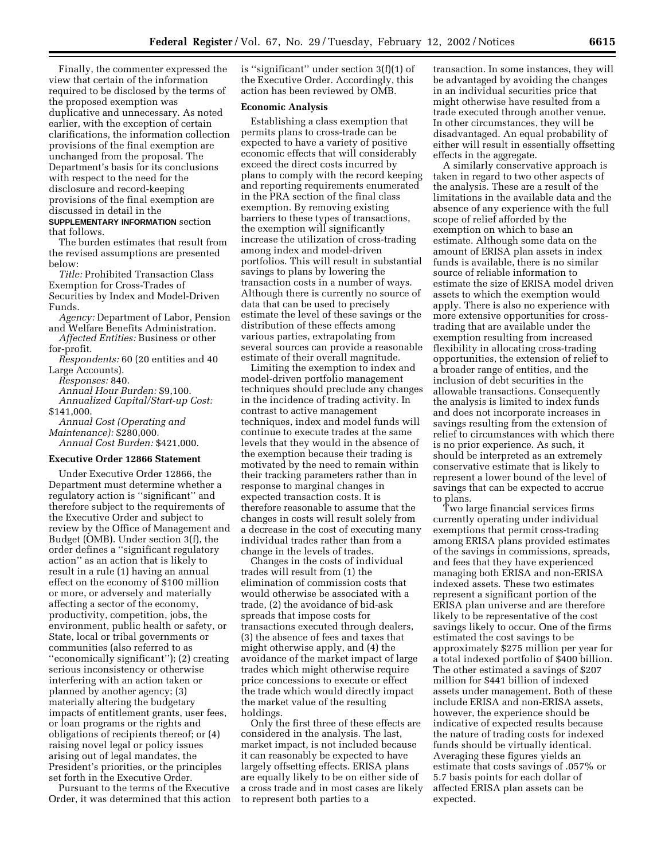Finally, the commenter expressed the view that certain of the information required to be disclosed by the terms of the proposed exemption was duplicative and unnecessary. As noted earlier, with the exception of certain clarifications, the information collection provisions of the final exemption are unchanged from the proposal. The Department's basis for its conclusions with respect to the need for the disclosure and record-keeping provisions of the final exemption are discussed in detail in the

**SUPPLEMENTARY INFORMATION** section that follows.

The burden estimates that result from the revised assumptions are presented below:

*Title:* Prohibited Transaction Class Exemption for Cross-Trades of Securities by Index and Model-Driven Funds.

*Agency:* Department of Labor, Pension and Welfare Benefits Administration.

*Affected Entities:* Business or other for-profit.

*Respondents:* 60 (20 entities and 40 Large Accounts).

*Responses:* 840.

*Annual Hour Burden:* \$9,100.

*Annualized Capital/Start-up Cost:* \$141,000.

*Annual Cost (Operating and Maintenance):* \$280,000. *Annual Cost Burden:* \$421,000.

# **Executive Order 12866 Statement**

Under Executive Order 12866, the Department must determine whether a regulatory action is ''significant'' and therefore subject to the requirements of the Executive Order and subject to review by the Office of Management and Budget (OMB). Under section 3(f), the order defines a ''significant regulatory action'' as an action that is likely to result in a rule (1) having an annual effect on the economy of \$100 million or more, or adversely and materially affecting a sector of the economy, productivity, competition, jobs, the environment, public health or safety, or State, local or tribal governments or communities (also referred to as ''economically significant''); (2) creating serious inconsistency or otherwise interfering with an action taken or planned by another agency; (3) materially altering the budgetary impacts of entitlement grants, user fees, or loan programs or the rights and obligations of recipients thereof; or (4) raising novel legal or policy issues arising out of legal mandates, the President's priorities, or the principles set forth in the Executive Order.

Pursuant to the terms of the Executive Order, it was determined that this action is ''significant'' under section 3(f)(1) of the Executive Order. Accordingly, this action has been reviewed by OMB.

#### **Economic Analysis**

Establishing a class exemption that permits plans to cross-trade can be expected to have a variety of positive economic effects that will considerably exceed the direct costs incurred by plans to comply with the record keeping and reporting requirements enumerated in the PRA section of the final class exemption. By removing existing barriers to these types of transactions, the exemption will significantly increase the utilization of cross-trading among index and model-driven portfolios. This will result in substantial savings to plans by lowering the transaction costs in a number of ways. Although there is currently no source of data that can be used to precisely estimate the level of these savings or the distribution of these effects among various parties, extrapolating from several sources can provide a reasonable estimate of their overall magnitude.

Limiting the exemption to index and model-driven portfolio management techniques should preclude any changes in the incidence of trading activity. In contrast to active management techniques, index and model funds will continue to execute trades at the same levels that they would in the absence of the exemption because their trading is motivated by the need to remain within their tracking parameters rather than in response to marginal changes in expected transaction costs. It is therefore reasonable to assume that the changes in costs will result solely from a decrease in the cost of executing many individual trades rather than from a change in the levels of trades.

Changes in the costs of individual trades will result from (1) the elimination of commission costs that would otherwise be associated with a trade, (2) the avoidance of bid-ask spreads that impose costs for transactions executed through dealers, (3) the absence of fees and taxes that might otherwise apply, and (4) the avoidance of the market impact of large trades which might otherwise require price concessions to execute or effect the trade which would directly impact the market value of the resulting holdings.

Only the first three of these effects are considered in the analysis. The last, market impact, is not included because it can reasonably be expected to have largely offsetting effects. ERISA plans are equally likely to be on either side of a cross trade and in most cases are likely to represent both parties to a

transaction. In some instances, they will be advantaged by avoiding the changes in an individual securities price that might otherwise have resulted from a trade executed through another venue. In other circumstances, they will be disadvantaged. An equal probability of either will result in essentially offsetting effects in the aggregate.

A similarly conservative approach is taken in regard to two other aspects of the analysis. These are a result of the limitations in the available data and the absence of any experience with the full scope of relief afforded by the exemption on which to base an estimate. Although some data on the amount of ERISA plan assets in index funds is available, there is no similar source of reliable information to estimate the size of ERISA model driven assets to which the exemption would apply. There is also no experience with more extensive opportunities for crosstrading that are available under the exemption resulting from increased flexibility in allocating cross-trading opportunities, the extension of relief to a broader range of entities, and the inclusion of debt securities in the allowable transactions. Consequently the analysis is limited to index funds and does not incorporate increases in savings resulting from the extension of relief to circumstances with which there is no prior experience. As such, it should be interpreted as an extremely conservative estimate that is likely to represent a lower bound of the level of savings that can be expected to accrue to plans.

Two large financial services firms currently operating under individual exemptions that permit cross-trading among ERISA plans provided estimates of the savings in commissions, spreads, and fees that they have experienced managing both ERISA and non-ERISA indexed assets. These two estimates represent a significant portion of the ERISA plan universe and are therefore likely to be representative of the cost savings likely to occur. One of the firms estimated the cost savings to be approximately \$275 million per year for a total indexed portfolio of \$400 billion. The other estimated a savings of \$207 million for \$441 billion of indexed assets under management. Both of these include ERISA and non-ERISA assets, however, the experience should be indicative of expected results because the nature of trading costs for indexed funds should be virtually identical. Averaging these figures yields an estimate that costs savings of .057% or 5.7 basis points for each dollar of affected ERISA plan assets can be expected.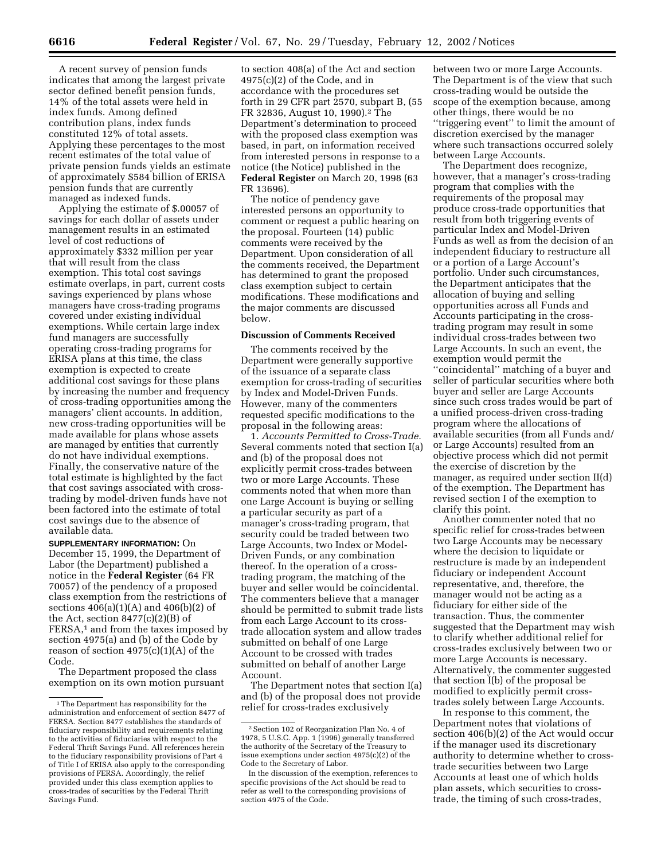A recent survey of pension funds indicates that among the largest private sector defined benefit pension funds, 14% of the total assets were held in index funds. Among defined contribution plans, index funds constituted 12% of total assets. Applying these percentages to the most recent estimates of the total value of private pension funds yields an estimate of approximately \$584 billion of ERISA pension funds that are currently managed as indexed funds.

Applying the estimate of \$.00057 of savings for each dollar of assets under management results in an estimated level of cost reductions of approximately \$332 million per year that will result from the class exemption. This total cost savings estimate overlaps, in part, current costs savings experienced by plans whose managers have cross-trading programs covered under existing individual exemptions. While certain large index fund managers are successfully operating cross-trading programs for ERISA plans at this time, the class exemption is expected to create additional cost savings for these plans by increasing the number and frequency of cross-trading opportunities among the managers' client accounts. In addition, new cross-trading opportunities will be made available for plans whose assets are managed by entities that currently do not have individual exemptions. Finally, the conservative nature of the total estimate is highlighted by the fact that cost savings associated with crosstrading by model-driven funds have not been factored into the estimate of total cost savings due to the absence of available data.

**SUPPLEMENTARY INFORMATION:** On December 15, 1999, the Department of Labor (the Department) published a notice in the **Federal Register** (64 FR 70057) of the pendency of a proposed class exemption from the restrictions of sections  $406(a)(1)(A)$  and  $406(b)(2)$  of the Act, section  $8477(c)(2)(B)$  of FERSA,<sup>1</sup> and from the taxes imposed by section 4975(a) and (b) of the Code by reason of section  $4975(c)(1)(A)$  of the Code.

The Department proposed the class exemption on its own motion pursuant

to section 408(a) of the Act and section 4975(c)(2) of the Code, and in accordance with the procedures set forth in 29 CFR part 2570, subpart B, (55 FR 32836, August 10, 1990).2 The Department's determination to proceed with the proposed class exemption was based, in part, on information received from interested persons in response to a notice (the Notice) published in the **Federal Register** on March 20, 1998 (63 FR 13696).

The notice of pendency gave interested persons an opportunity to comment or request a public hearing on the proposal. Fourteen (14) public comments were received by the Department. Upon consideration of all the comments received, the Department has determined to grant the proposed class exemption subject to certain modifications. These modifications and the major comments are discussed below.

# **Discussion of Comments Received**

The comments received by the Department were generally supportive of the issuance of a separate class exemption for cross-trading of securities by Index and Model-Driven Funds. However, many of the commenters requested specific modifications to the proposal in the following areas:

1. *Accounts Permitted to Cross-Trade.* Several comments noted that section I(a) and (b) of the proposal does not explicitly permit cross-trades between two or more Large Accounts. These comments noted that when more than one Large Account is buying or selling a particular security as part of a manager's cross-trading program, that security could be traded between two Large Accounts, two Index or Model-Driven Funds, or any combination thereof. In the operation of a crosstrading program, the matching of the buyer and seller would be coincidental. The commenters believe that a manager should be permitted to submit trade lists from each Large Account to its crosstrade allocation system and allow trades submitted on behalf of one Large Account to be crossed with trades submitted on behalf of another Large Account.

The Department notes that section I(a) and (b) of the proposal does not provide relief for cross-trades exclusively

between two or more Large Accounts. The Department is of the view that such cross-trading would be outside the scope of the exemption because, among other things, there would be no ''triggering event'' to limit the amount of discretion exercised by the manager where such transactions occurred solely between Large Accounts.

The Department does recognize, however, that a manager's cross-trading program that complies with the requirements of the proposal may produce cross-trade opportunities that result from both triggering events of particular Index and Model-Driven Funds as well as from the decision of an independent fiduciary to restructure all or a portion of a Large Account's portfolio. Under such circumstances, the Department anticipates that the allocation of buying and selling opportunities across all Funds and Accounts participating in the crosstrading program may result in some individual cross-trades between two Large Accounts. In such an event, the exemption would permit the ''coincidental'' matching of a buyer and seller of particular securities where both buyer and seller are Large Accounts since such cross trades would be part of a unified process-driven cross-trading program where the allocations of available securities (from all Funds and/ or Large Accounts) resulted from an objective process which did not permit the exercise of discretion by the manager, as required under section II(d) of the exemption. The Department has revised section I of the exemption to clarify this point.

Another commenter noted that no specific relief for cross-trades between two Large Accounts may be necessary where the decision to liquidate or restructure is made by an independent fiduciary or independent Account representative, and, therefore, the manager would not be acting as a fiduciary for either side of the transaction. Thus, the commenter suggested that the Department may wish to clarify whether additional relief for cross-trades exclusively between two or more Large Accounts is necessary. Alternatively, the commenter suggested that section I(b) of the proposal be modified to explicitly permit crosstrades solely between Large Accounts.

In response to this comment, the Department notes that violations of section 406(b)(2) of the Act would occur if the manager used its discretionary authority to determine whether to crosstrade securities between two Large Accounts at least one of which holds plan assets, which securities to crosstrade, the timing of such cross-trades,

<sup>&</sup>lt;sup>1</sup>The Department has responsibility for the administration and enforcement of section 8477 of FERSA. Section 8477 establishes the standards of fiduciary responsibility and requirements relating to the activities of fiduciaries with respect to the Federal Thrift Savings Fund. All references herein to the fiduciary responsibility provisions of Part 4 of Title I of ERISA also apply to the corresponding provisions of FERSA. Accordingly, the relief provided under this class exemption applies to cross-trades of securities by the Federal Thrift Savings Fund.

 $^2\,$  Section 102 of Reorganization Plan No. 4 of 1978, 5 U.S.C. App. 1 (1996) generally transferred the authority of the Secretary of the Treasury to issue exemptions under section 4975(c)(2) of the Code to the Secretary of Labor.

In the discussion of the exemption, references to specific provisions of the Act should be read to refer as well to the corresponding provisions of section 4975 of the Code.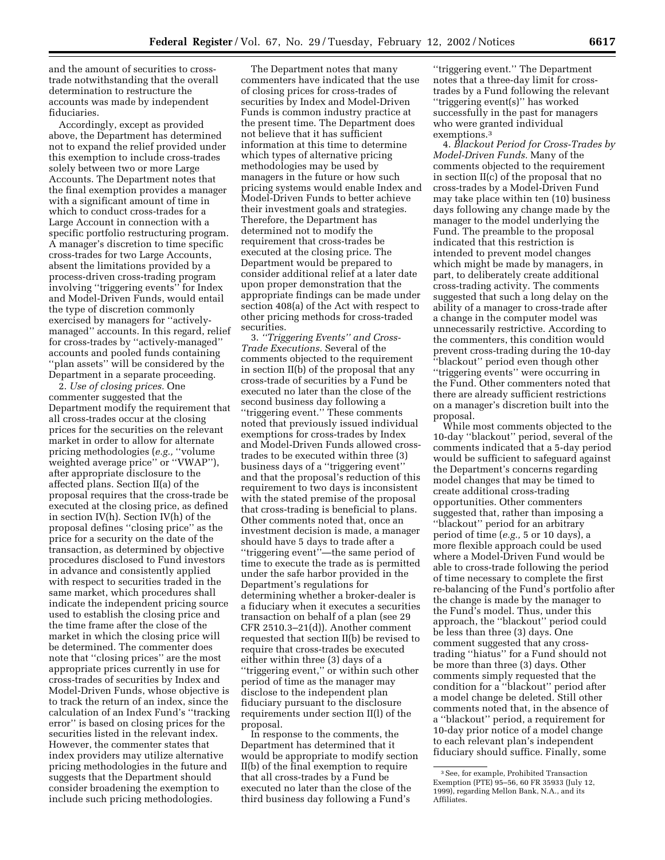and the amount of securities to crosstrade notwithstanding that the overall determination to restructure the accounts was made by independent fiduciaries.

Accordingly, except as provided above, the Department has determined not to expand the relief provided under this exemption to include cross-trades solely between two or more Large Accounts. The Department notes that the final exemption provides a manager with a significant amount of time in which to conduct cross-trades for a Large Account in connection with a specific portfolio restructuring program. A manager's discretion to time specific cross-trades for two Large Accounts, absent the limitations provided by a process-driven cross-trading program involving ''triggering events'' for Index and Model-Driven Funds, would entail the type of discretion commonly exercised by managers for ''activelymanaged'' accounts. In this regard, relief for cross-trades by ''actively-managed'' accounts and pooled funds containing ''plan assets'' will be considered by the Department in a separate proceeding.

2. *Use of closing prices.* One commenter suggested that the Department modify the requirement that all cross-trades occur at the closing prices for the securities on the relevant market in order to allow for alternate pricing methodologies (*e.g.,* ''volume weighted average price'' or ''VWAP''), after appropriate disclosure to the affected plans. Section II(a) of the proposal requires that the cross-trade be executed at the closing price, as defined in section IV(h). Section IV(h) of the proposal defines ''closing price'' as the price for a security on the date of the transaction, as determined by objective procedures disclosed to Fund investors in advance and consistently applied with respect to securities traded in the same market, which procedures shall indicate the independent pricing source used to establish the closing price and the time frame after the close of the market in which the closing price will be determined. The commenter does note that ''closing prices'' are the most appropriate prices currently in use for cross-trades of securities by Index and Model-Driven Funds, whose objective is to track the return of an index, since the calculation of an Index Fund's ''tracking error'' is based on closing prices for the securities listed in the relevant index. However, the commenter states that index providers may utilize alternative pricing methodologies in the future and suggests that the Department should consider broadening the exemption to include such pricing methodologies.

The Department notes that many commenters have indicated that the use of closing prices for cross-trades of securities by Index and Model-Driven Funds is common industry practice at the present time. The Department does not believe that it has sufficient information at this time to determine which types of alternative pricing methodologies may be used by managers in the future or how such pricing systems would enable Index and Model-Driven Funds to better achieve their investment goals and strategies. Therefore, the Department has determined not to modify the requirement that cross-trades be executed at the closing price. The Department would be prepared to consider additional relief at a later date upon proper demonstration that the appropriate findings can be made under section 408(a) of the Act with respect to other pricing methods for cross-traded securities.

3. *''Triggering Events'' and Cross-Trade Executions.* Several of the comments objected to the requirement in section II(b) of the proposal that any cross-trade of securities by a Fund be executed no later than the close of the second business day following a ''triggering event.'' These comments noted that previously issued individual exemptions for cross-trades by Index and Model-Driven Funds allowed crosstrades to be executed within three (3) business days of a ''triggering event'' and that the proposal's reduction of this requirement to two days is inconsistent with the stated premise of the proposal that cross-trading is beneficial to plans. Other comments noted that, once an investment decision is made, a manager should have 5 days to trade after a ''triggering event''—the same period of time to execute the trade as is permitted under the safe harbor provided in the Department's regulations for determining whether a broker-dealer is a fiduciary when it executes a securities transaction on behalf of a plan (see 29 CFR 2510.3–21(d)). Another comment requested that section II(b) be revised to require that cross-trades be executed either within three (3) days of a ''triggering event,'' or within such other period of time as the manager may disclose to the independent plan fiduciary pursuant to the disclosure requirements under section II(l) of the proposal.

In response to the comments, the Department has determined that it would be appropriate to modify section II(b) of the final exemption to require that all cross-trades by a Fund be executed no later than the close of the third business day following a Fund's

''triggering event.'' The Department notes that a three-day limit for crosstrades by a Fund following the relevant ''triggering event(s)'' has worked successfully in the past for managers who were granted individual exemptions.3

4. *Blackout Period for Cross-Trades by Model-Driven Funds.* Many of the comments objected to the requirement in section II(c) of the proposal that no cross-trades by a Model-Driven Fund may take place within ten (10) business days following any change made by the manager to the model underlying the Fund. The preamble to the proposal indicated that this restriction is intended to prevent model changes which might be made by managers, in part, to deliberately create additional cross-trading activity. The comments suggested that such a long delay on the ability of a manager to cross-trade after a change in the computer model was unnecessarily restrictive. According to the commenters, this condition would prevent cross-trading during the 10-day ''blackout'' period even though other ''triggering events'' were occurring in the Fund. Other commenters noted that there are already sufficient restrictions on a manager's discretion built into the proposal.

While most comments objected to the 10-day ''blackout'' period, several of the comments indicated that a 5-day period would be sufficient to safeguard against the Department's concerns regarding model changes that may be timed to create additional cross-trading opportunities. Other commenters suggested that, rather than imposing a ''blackout'' period for an arbitrary period of time (*e.g.,* 5 or 10 days), a more flexible approach could be used where a Model-Driven Fund would be able to cross-trade following the period of time necessary to complete the first re-balancing of the Fund's portfolio after the change is made by the manager to the Fund's model. Thus, under this approach, the ''blackout'' period could be less than three (3) days. One comment suggested that any crosstrading ''hiatus'' for a Fund should not be more than three (3) days. Other comments simply requested that the condition for a ''blackout'' period after a model change be deleted. Still other comments noted that, in the absence of a ''blackout'' period, a requirement for 10-day prior notice of a model change to each relevant plan's independent fiduciary should suffice. Finally, some

<sup>3</sup>See, for example, Prohibited Transaction Exemption (PTE) 95–56, 60 FR 35933 (July 12, 1999), regarding Mellon Bank, N.A., and its Affiliates.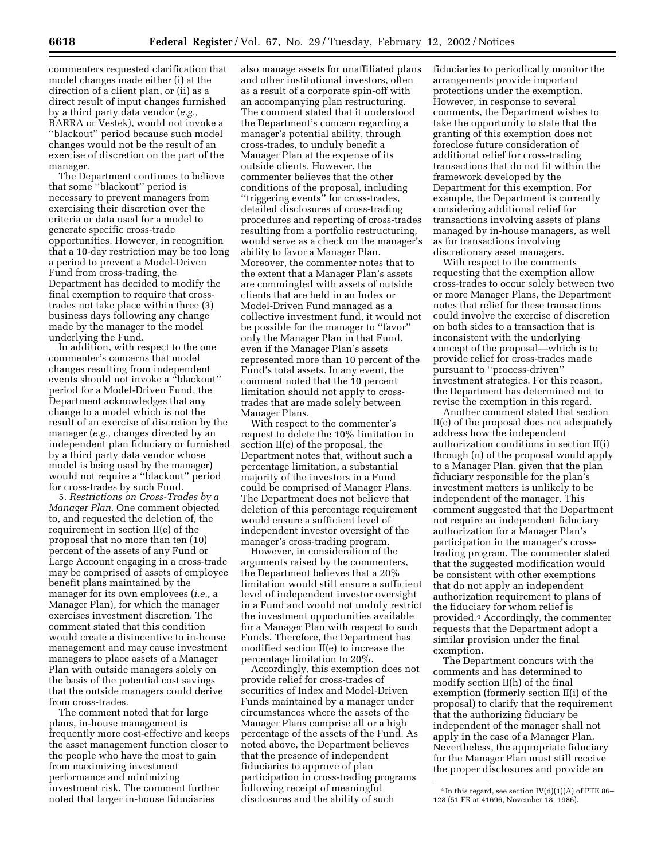commenters requested clarification that model changes made either (i) at the direction of a client plan, or (ii) as a direct result of input changes furnished by a third party data vendor (*e.g.,* BARRA or Vestek), would not invoke a ''blackout'' period because such model changes would not be the result of an exercise of discretion on the part of the manager.

The Department continues to believe that some ''blackout'' period is necessary to prevent managers from exercising their discretion over the criteria or data used for a model to generate specific cross-trade opportunities. However, in recognition that a 10-day restriction may be too long a period to prevent a Model-Driven Fund from cross-trading, the Department has decided to modify the final exemption to require that crosstrades not take place within three (3) business days following any change made by the manager to the model underlying the Fund.

In addition, with respect to the one commenter's concerns that model changes resulting from independent events should not invoke a ''blackout'' period for a Model-Driven Fund, the Department acknowledges that any change to a model which is not the result of an exercise of discretion by the manager (*e.g.,* changes directed by an independent plan fiduciary or furnished by a third party data vendor whose model is being used by the manager) would not require a ''blackout'' period for cross-trades by such Fund.

5. *Restrictions on Cross-Trades by a Manager Plan.* One comment objected to, and requested the deletion of, the requirement in section II(e) of the proposal that no more than ten (10) percent of the assets of any Fund or Large Account engaging in a cross-trade may be comprised of assets of employee benefit plans maintained by the manager for its own employees (*i.e.,* a Manager Plan), for which the manager exercises investment discretion. The comment stated that this condition would create a disincentive to in-house management and may cause investment managers to place assets of a Manager Plan with outside managers solely on the basis of the potential cost savings that the outside managers could derive from cross-trades.

The comment noted that for large plans, in-house management is frequently more cost-effective and keeps the asset management function closer to the people who have the most to gain from maximizing investment performance and minimizing investment risk. The comment further noted that larger in-house fiduciaries

also manage assets for unaffiliated plans and other institutional investors, often as a result of a corporate spin-off with an accompanying plan restructuring. The comment stated that it understood the Department's concern regarding a manager's potential ability, through cross-trades, to unduly benefit a Manager Plan at the expense of its outside clients. However, the commenter believes that the other conditions of the proposal, including ''triggering events'' for cross-trades, detailed disclosures of cross-trading procedures and reporting of cross-trades resulting from a portfolio restructuring, would serve as a check on the manager's ability to favor a Manager Plan. Moreover, the commenter notes that to the extent that a Manager Plan's assets are commingled with assets of outside clients that are held in an Index or Model-Driven Fund managed as a collective investment fund, it would not be possible for the manager to ''favor'' only the Manager Plan in that Fund, even if the Manager Plan's assets represented more than 10 percent of the Fund's total assets. In any event, the comment noted that the 10 percent limitation should not apply to crosstrades that are made solely between Manager Plans.

With respect to the commenter's request to delete the 10% limitation in section II(e) of the proposal, the Department notes that, without such a percentage limitation, a substantial majority of the investors in a Fund could be comprised of Manager Plans. The Department does not believe that deletion of this percentage requirement would ensure a sufficient level of independent investor oversight of the manager's cross-trading program.

However, in consideration of the arguments raised by the commenters, the Department believes that a 20% limitation would still ensure a sufficient level of independent investor oversight in a Fund and would not unduly restrict the investment opportunities available for a Manager Plan with respect to such Funds. Therefore, the Department has modified section II(e) to increase the percentage limitation to 20%.

Accordingly, this exemption does not provide relief for cross-trades of securities of Index and Model-Driven Funds maintained by a manager under circumstances where the assets of the Manager Plans comprise all or a high percentage of the assets of the Fund. As noted above, the Department believes that the presence of independent fiduciaries to approve of plan participation in cross-trading programs following receipt of meaningful disclosures and the ability of such

fiduciaries to periodically monitor the arrangements provide important protections under the exemption. However, in response to several comments, the Department wishes to take the opportunity to state that the granting of this exemption does not foreclose future consideration of additional relief for cross-trading transactions that do not fit within the framework developed by the Department for this exemption. For example, the Department is currently considering additional relief for transactions involving assets of plans managed by in-house managers, as well as for transactions involving discretionary asset managers.

With respect to the comments requesting that the exemption allow cross-trades to occur solely between two or more Manager Plans, the Department notes that relief for these transactions could involve the exercise of discretion on both sides to a transaction that is inconsistent with the underlying concept of the proposal—which is to provide relief for cross-trades made pursuant to ''process-driven'' investment strategies. For this reason, the Department has determined not to revise the exemption in this regard.

Another comment stated that section II(e) of the proposal does not adequately address how the independent authorization conditions in section II(i) through (n) of the proposal would apply to a Manager Plan, given that the plan fiduciary responsible for the plan's investment matters is unlikely to be independent of the manager. This comment suggested that the Department not require an independent fiduciary authorization for a Manager Plan's participation in the manager's crosstrading program. The commenter stated that the suggested modification would be consistent with other exemptions that do not apply an independent authorization requirement to plans of the fiduciary for whom relief is provided.4 Accordingly, the commenter requests that the Department adopt a similar provision under the final exemption.

The Department concurs with the comments and has determined to modify section II(h) of the final exemption (formerly section II(i) of the proposal) to clarify that the requirement that the authorizing fiduciary be independent of the manager shall not apply in the case of a Manager Plan. Nevertheless, the appropriate fiduciary for the Manager Plan must still receive the proper disclosures and provide an

 $4$  In this regard, see section IV(d)(1)(A) of PTE 86– 128 (51 FR at 41696, November 18, 1986).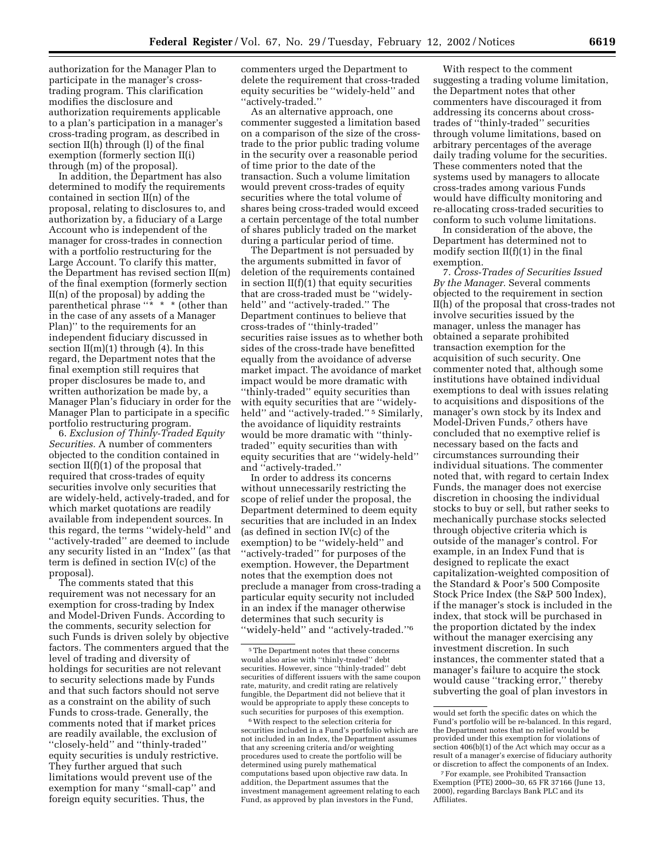authorization for the Manager Plan to participate in the manager's crosstrading program. This clarification modifies the disclosure and authorization requirements applicable to a plan's participation in a manager's cross-trading program, as described in section II(h) through (l) of the final

through (m) of the proposal). In addition, the Department has also determined to modify the requirements contained in section II(n) of the proposal, relating to disclosures to, and authorization by, a fiduciary of a Large Account who is independent of the manager for cross-trades in connection with a portfolio restructuring for the Large Account. To clarify this matter, the Department has revised section II(m) of the final exemption (formerly section II(n) of the proposal) by adding the parenthetical phrase ''\* \* \* (other than in the case of any assets of a Manager Plan)'' to the requirements for an independent fiduciary discussed in section II(m)(1) through (4). In this regard, the Department notes that the final exemption still requires that proper disclosures be made to, and written authorization be made by, a Manager Plan's fiduciary in order for the Manager Plan to participate in a specific portfolio restructuring program.

exemption (formerly section II(i)

6. *Exclusion of Thinly-Traded Equity Securities.* A number of commenters objected to the condition contained in section II(f)(1) of the proposal that required that cross-trades of equity securities involve only securities that are widely-held, actively-traded, and for which market quotations are readily available from independent sources. In this regard, the terms ''widely-held'' and ''actively-traded'' are deemed to include any security listed in an ''Index'' (as that term is defined in section IV(c) of the proposal).

The comments stated that this requirement was not necessary for an exemption for cross-trading by Index and Model-Driven Funds. According to the comments, security selection for such Funds is driven solely by objective factors. The commenters argued that the level of trading and diversity of holdings for securities are not relevant to security selections made by Funds and that such factors should not serve as a constraint on the ability of such Funds to cross-trade. Generally, the comments noted that if market prices are readily available, the exclusion of ''closely-held'' and ''thinly-traded'' equity securities is unduly restrictive. They further argued that such limitations would prevent use of the exemption for many ''small-cap'' and foreign equity securities. Thus, the

commenters urged the Department to delete the requirement that cross-traded equity securities be ''widely-held'' and ''actively-traded.''

As an alternative approach, one commenter suggested a limitation based on a comparison of the size of the crosstrade to the prior public trading volume in the security over a reasonable period of time prior to the date of the transaction. Such a volume limitation would prevent cross-trades of equity securities where the total volume of shares being cross-traded would exceed a certain percentage of the total number of shares publicly traded on the market during a particular period of time.

The Department is not persuaded by the arguments submitted in favor of deletion of the requirements contained in section II(f)(1) that equity securities that are cross-traded must be ''widelyheld'' and ''actively-traded.'' The Department continues to believe that cross-trades of ''thinly-traded'' securities raise issues as to whether both sides of the cross-trade have benefitted equally from the avoidance of adverse market impact. The avoidance of market impact would be more dramatic with ''thinly-traded'' equity securities than with equity securities that are ''widelyheld" and "actively-traded."<sup>5</sup> Similarly, the avoidance of liquidity restraints would be more dramatic with ''thinlytraded'' equity securities than with equity securities that are ''widely-held'' and ''actively-traded.''

In order to address its concerns without unnecessarily restricting the scope of relief under the proposal, the Department determined to deem equity securities that are included in an Index (as defined in section IV(c) of the exemption) to be ''widely-held'' and ''actively-traded'' for purposes of the exemption. However, the Department notes that the exemption does not preclude a manager from cross-trading a particular equity security not included in an index if the manager otherwise determines that such security is ''widely-held'' and ''actively-traded.''6

With respect to the comment suggesting a trading volume limitation, the Department notes that other commenters have discouraged it from addressing its concerns about crosstrades of ''thinly-traded'' securities through volume limitations, based on arbitrary percentages of the average daily trading volume for the securities. These commenters noted that the systems used by managers to allocate cross-trades among various Funds would have difficulty monitoring and re-allocating cross-traded securities to conform to such volume limitations.

In consideration of the above, the Department has determined not to modify section  $II(f)(1)$  in the final exemption.

7. *Cross-Trades of Securities Issued By the Manager.* Several comments objected to the requirement in section II(h) of the proposal that cross-trades not involve securities issued by the manager, unless the manager has obtained a separate prohibited transaction exemption for the acquisition of such security. One commenter noted that, although some institutions have obtained individual exemptions to deal with issues relating to acquisitions and dispositions of the manager's own stock by its Index and Model-Driven Funds,7 others have concluded that no exemptive relief is necessary based on the facts and circumstances surrounding their individual situations. The commenter noted that, with regard to certain Index Funds, the manager does not exercise discretion in choosing the individual stocks to buy or sell, but rather seeks to mechanically purchase stocks selected through objective criteria which is outside of the manager's control. For example, in an Index Fund that is designed to replicate the exact capitalization-weighted composition of the Standard & Poor's 500 Composite Stock Price Index (the S&P 500 Index), if the manager's stock is included in the index, that stock will be purchased in the proportion dictated by the index without the manager exercising any investment discretion. In such instances, the commenter stated that a manager's failure to acquire the stock would cause ''tracking error,'' thereby subverting the goal of plan investors in

<sup>5</sup>The Department notes that these concerns would also arise with ''thinly-traded'' debt securities. However, since ''thinly-traded'' debt securities of different issuers with the same coupon rate, maturity, and credit rating are relatively fungible, the Department did not believe that it would be appropriate to apply these concepts to such securities for purposes of this exemption.

<sup>6</sup>With respect to the selection criteria for securities included in a Fund's portfolio which are not included in an Index, the Department assumes that any screening criteria and/or weighting procedures used to create the portfolio will be determined using purely mathematical computations based upon objective raw data. In addition, the Department assumes that the investment management agreement relating to each Fund, as approved by plan investors in the Fund,

would set forth the specific dates on which the Fund's portfolio will be re-balanced. In this regard, the Department notes that no relief would be provided under this exemption for violations of section 406(b)(1) of the Act which may occur as a result of a manager's exercise of fiduciary authority or discretion to affect the components of an Index.

<sup>7</sup>For example, see Prohibited Transaction Exemption (PTE) 2000–30, 65 FR 37166 (June 13, 2000), regarding Barclays Bank PLC and its Affiliates.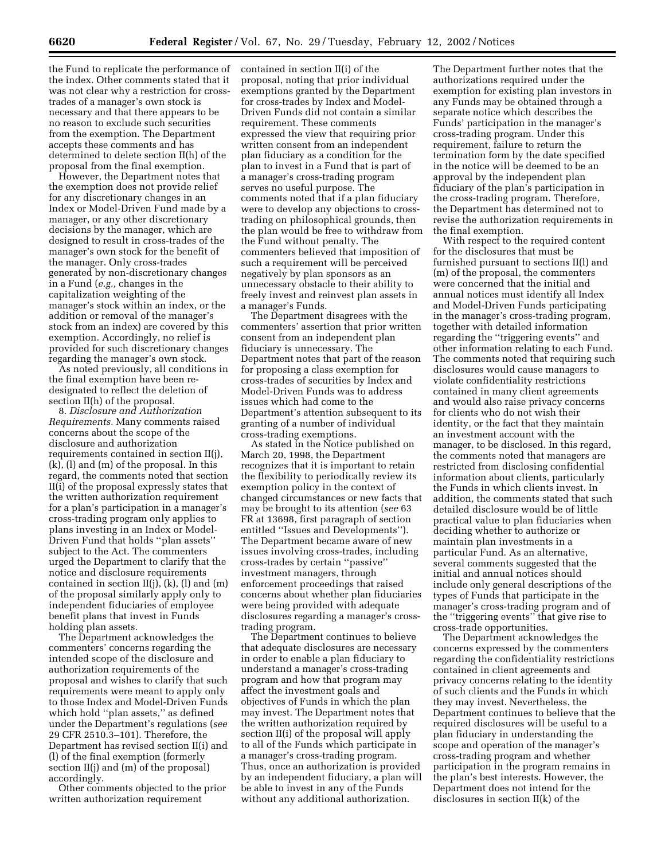the Fund to replicate the performance of the index. Other comments stated that it was not clear why a restriction for crosstrades of a manager's own stock is necessary and that there appears to be no reason to exclude such securities from the exemption. The Department accepts these comments and has determined to delete section II(h) of the proposal from the final exemption.

However, the Department notes that the exemption does not provide relief for any discretionary changes in an Index or Model-Driven Fund made by a manager, or any other discretionary decisions by the manager, which are designed to result in cross-trades of the manager's own stock for the benefit of the manager. Only cross-trades generated by non-discretionary changes in a Fund (*e.g.,* changes in the capitalization weighting of the manager's stock within an index, or the addition or removal of the manager's stock from an index) are covered by this exemption. Accordingly, no relief is provided for such discretionary changes regarding the manager's own stock.

As noted previously, all conditions in the final exemption have been redesignated to reflect the deletion of section II(h) of the proposal.

8. *Disclosure and Authorization Requirements.* Many comments raised concerns about the scope of the disclosure and authorization requirements contained in section II(j), (k), (l) and (m) of the proposal. In this regard, the comments noted that section II(i) of the proposal expressly states that the written authorization requirement for a plan's participation in a manager's cross-trading program only applies to plans investing in an Index or Model-Driven Fund that holds ''plan assets'' subject to the Act. The commenters urged the Department to clarify that the notice and disclosure requirements contained in section  $II(j)$ ,  $(k)$ ,  $(l)$  and  $(m)$ of the proposal similarly apply only to independent fiduciaries of employee benefit plans that invest in Funds holding plan assets.

The Department acknowledges the commenters' concerns regarding the intended scope of the disclosure and authorization requirements of the proposal and wishes to clarify that such requirements were meant to apply only to those Index and Model-Driven Funds which hold ''plan assets,'' as defined under the Department's regulations (*see* 29 CFR 2510.3–101). Therefore, the Department has revised section II(i) and (l) of the final exemption (formerly section II(j) and (m) of the proposal) accordingly.

Other comments objected to the prior written authorization requirement

contained in section II(i) of the proposal, noting that prior individual exemptions granted by the Department for cross-trades by Index and Model-Driven Funds did not contain a similar requirement. These comments expressed the view that requiring prior written consent from an independent plan fiduciary as a condition for the plan to invest in a Fund that is part of a manager's cross-trading program serves no useful purpose. The comments noted that if a plan fiduciary were to develop any objections to crosstrading on philosophical grounds, then the plan would be free to withdraw from the Fund without penalty. The commenters believed that imposition of such a requirement will be perceived negatively by plan sponsors as an unnecessary obstacle to their ability to freely invest and reinvest plan assets in a manager's Funds.

The Department disagrees with the commenters' assertion that prior written consent from an independent plan fiduciary is unnecessary. The Department notes that part of the reason for proposing a class exemption for cross-trades of securities by Index and Model-Driven Funds was to address issues which had come to the Department's attention subsequent to its granting of a number of individual cross-trading exemptions.

As stated in the Notice published on March 20, 1998, the Department recognizes that it is important to retain the flexibility to periodically review its exemption policy in the context of changed circumstances or new facts that may be brought to its attention (*see* 63 FR at 13698, first paragraph of section entitled ''Issues and Developments''). The Department became aware of new issues involving cross-trades, including cross-trades by certain ''passive'' investment managers, through enforcement proceedings that raised concerns about whether plan fiduciaries were being provided with adequate disclosures regarding a manager's crosstrading program.

The Department continues to believe that adequate disclosures are necessary in order to enable a plan fiduciary to understand a manager's cross-trading program and how that program may affect the investment goals and objectives of Funds in which the plan may invest. The Department notes that the written authorization required by section II(i) of the proposal will apply to all of the Funds which participate in a manager's cross-trading program. Thus, once an authorization is provided by an independent fiduciary, a plan will be able to invest in any of the Funds without any additional authorization.

The Department further notes that the authorizations required under the exemption for existing plan investors in any Funds may be obtained through a separate notice which describes the Funds' participation in the manager's cross-trading program. Under this requirement, failure to return the termination form by the date specified in the notice will be deemed to be an approval by the independent plan fiduciary of the plan's participation in the cross-trading program. Therefore, the Department has determined not to revise the authorization requirements in the final exemption.

With respect to the required content for the disclosures that must be furnished pursuant to sections II(l) and (m) of the proposal, the commenters were concerned that the initial and annual notices must identify all Index and Model-Driven Funds participating in the manager's cross-trading program, together with detailed information regarding the ''triggering events'' and other information relating to each Fund. The comments noted that requiring such disclosures would cause managers to violate confidentiality restrictions contained in many client agreements and would also raise privacy concerns for clients who do not wish their identity, or the fact that they maintain an investment account with the manager, to be disclosed. In this regard, the comments noted that managers are restricted from disclosing confidential information about clients, particularly the Funds in which clients invest. In addition, the comments stated that such detailed disclosure would be of little practical value to plan fiduciaries when deciding whether to authorize or maintain plan investments in a particular Fund. As an alternative, several comments suggested that the initial and annual notices should include only general descriptions of the types of Funds that participate in the manager's cross-trading program and of the ''triggering events'' that give rise to cross-trade opportunities.

The Department acknowledges the concerns expressed by the commenters regarding the confidentiality restrictions contained in client agreements and privacy concerns relating to the identity of such clients and the Funds in which they may invest. Nevertheless, the Department continues to believe that the required disclosures will be useful to a plan fiduciary in understanding the scope and operation of the manager's cross-trading program and whether participation in the program remains in the plan's best interests. However, the Department does not intend for the disclosures in section II(k) of the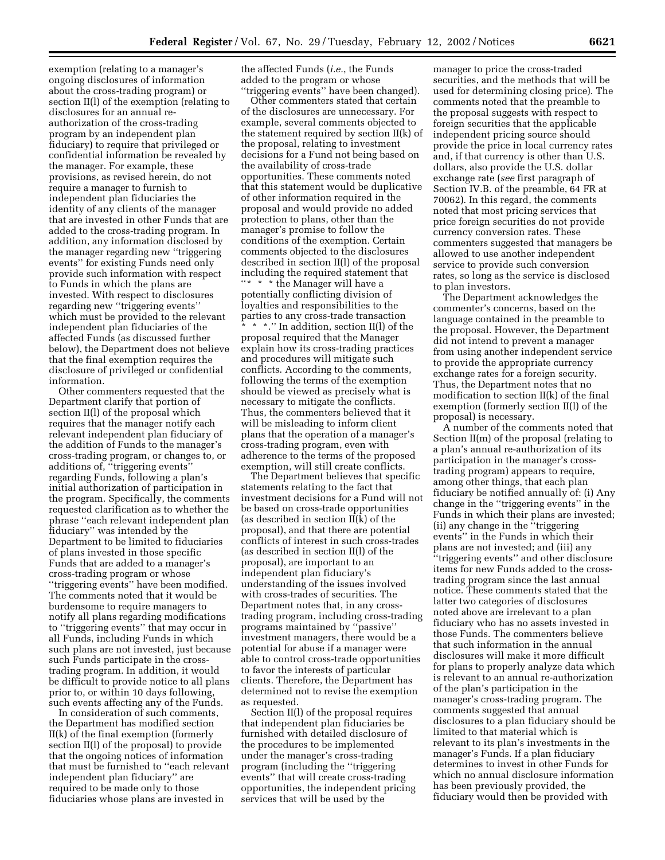exemption (relating to a manager's ongoing disclosures of information about the cross-trading program) or section II(l) of the exemption (relating to disclosures for an annual reauthorization of the cross-trading program by an independent plan fiduciary) to require that privileged or confidential information be revealed by the manager. For example, these provisions, as revised herein, do not require a manager to furnish to independent plan fiduciaries the identity of any clients of the manager that are invested in other Funds that are added to the cross-trading program. In addition, any information disclosed by the manager regarding new ''triggering events'' for existing Funds need only provide such information with respect to Funds in which the plans are invested. With respect to disclosures regarding new ''triggering events'' which must be provided to the relevant independent plan fiduciaries of the affected Funds (as discussed further below), the Department does not believe that the final exemption requires the disclosure of privileged or confidential information.

Other commenters requested that the Department clarify that portion of section II(l) of the proposal which requires that the manager notify each relevant independent plan fiduciary of the addition of Funds to the manager's cross-trading program, or changes to, or additions of, ''triggering events'' regarding Funds, following a plan's initial authorization of participation in the program. Specifically, the comments requested clarification as to whether the phrase ''each relevant independent plan fiduciary'' was intended by the Department to be limited to fiduciaries of plans invested in those specific Funds that are added to a manager's cross-trading program or whose ''triggering events'' have been modified. The comments noted that it would be burdensome to require managers to notify all plans regarding modifications to ''triggering events'' that may occur in all Funds, including Funds in which such plans are not invested, just because such Funds participate in the crosstrading program. In addition, it would be difficult to provide notice to all plans prior to, or within 10 days following, such events affecting any of the Funds.

In consideration of such comments, the Department has modified section II(k) of the final exemption (formerly section II(l) of the proposal) to provide that the ongoing notices of information that must be furnished to ''each relevant independent plan fiduciary'' are required to be made only to those fiduciaries whose plans are invested in

the affected Funds (*i.e.*, the Funds added to the program or whose ''triggering events'' have been changed).

Other commenters stated that certain of the disclosures are unnecessary. For example, several comments objected to the statement required by section II(k) of the proposal, relating to investment decisions for a Fund not being based on the availability of cross-trade opportunities. These comments noted that this statement would be duplicative of other information required in the proposal and would provide no added protection to plans, other than the manager's promise to follow the conditions of the exemption. Certain comments objected to the disclosures described in section II(l) of the proposal including the required statement that ''\* \* \* the Manager will have a potentially conflicting division of loyalties and responsibilities to the parties to any cross-trade transaction \* \* \*.'' In addition, section II(l) of the proposal required that the Manager explain how its cross-trading practices and procedures will mitigate such conflicts. According to the comments, following the terms of the exemption should be viewed as precisely what is necessary to mitigate the conflicts. Thus, the commenters believed that it will be misleading to inform client plans that the operation of a manager's cross-trading program, even with adherence to the terms of the proposed exemption, will still create conflicts.

The Department believes that specific statements relating to the fact that investment decisions for a Fund will not be based on cross-trade opportunities (as described in section II(k) of the proposal), and that there are potential conflicts of interest in such cross-trades (as described in section II(l) of the proposal), are important to an independent plan fiduciary's understanding of the issues involved with cross-trades of securities. The Department notes that, in any crosstrading program, including cross-trading programs maintained by ''passive'' investment managers, there would be a potential for abuse if a manager were able to control cross-trade opportunities to favor the interests of particular clients. Therefore, the Department has determined not to revise the exemption as requested.

Section II(l) of the proposal requires that independent plan fiduciaries be furnished with detailed disclosure of the procedures to be implemented under the manager's cross-trading program (including the ''triggering events'' that will create cross-trading opportunities, the independent pricing services that will be used by the

manager to price the cross-traded securities, and the methods that will be used for determining closing price). The comments noted that the preamble to the proposal suggests with respect to foreign securities that the applicable independent pricing source should provide the price in local currency rates and, if that currency is other than U.S. dollars, also provide the U.S. dollar exchange rate (*see* first paragraph of Section IV.B. of the preamble, 64 FR at 70062). In this regard, the comments noted that most pricing services that price foreign securities do not provide currency conversion rates. These commenters suggested that managers be allowed to use another independent service to provide such conversion rates, so long as the service is disclosed to plan investors.

The Department acknowledges the commenter's concerns, based on the language contained in the preamble to the proposal. However, the Department did not intend to prevent a manager from using another independent service to provide the appropriate currency exchange rates for a foreign security. Thus, the Department notes that no modification to section II(k) of the final exemption (formerly section II(l) of the proposal) is necessary.

A number of the comments noted that Section II(m) of the proposal (relating to a plan's annual re-authorization of its participation in the manager's crosstrading program) appears to require, among other things, that each plan fiduciary be notified annually of: (i) Any change in the ''triggering events'' in the Funds in which their plans are invested; (ii) any change in the ''triggering events'' in the Funds in which their plans are not invested; and (iii) any ''triggering events'' and other disclosure items for new Funds added to the crosstrading program since the last annual notice. These comments stated that the latter two categories of disclosures noted above are irrelevant to a plan fiduciary who has no assets invested in those Funds. The commenters believe that such information in the annual disclosures will make it more difficult for plans to properly analyze data which is relevant to an annual re-authorization of the plan's participation in the manager's cross-trading program. The comments suggested that annual disclosures to a plan fiduciary should be limited to that material which is relevant to its plan's investments in the manager's Funds. If a plan fiduciary determines to invest in other Funds for which no annual disclosure information has been previously provided, the fiduciary would then be provided with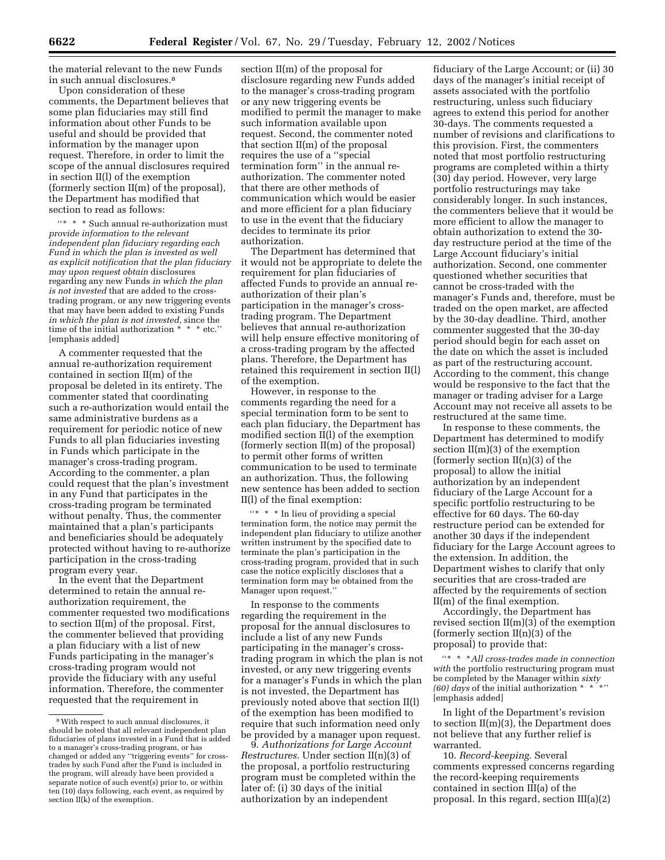the material relevant to the new Funds in such annual disclosures.8

Upon consideration of these comments, the Department believes that some plan fiduciaries may still find information about other Funds to be useful and should be provided that information by the manager upon request. Therefore, in order to limit the scope of the annual disclosures required in section II(l) of the exemption (formerly section II(m) of the proposal), the Department has modified that section to read as follows:

''\* \* \* Such annual re-authorization must *provide information to the relevant independent plan fiduciary regarding each Fund in which the plan is invested as well as explicit notification that the plan fiduciary may upon request obtain* disclosures regarding any new Funds *in which the plan is not invested* that are added to the crosstrading program, or any new triggering events that may have been added to existing Funds *in which the plan is not invested,* since the time of the initial authorization \* \* \* etc.'' [emphasis added]

A commenter requested that the annual re-authorization requirement contained in section II(m) of the proposal be deleted in its entirety. The commenter stated that coordinating such a re-authorization would entail the same administrative burdens as a requirement for periodic notice of new Funds to all plan fiduciaries investing in Funds which participate in the manager's cross-trading program. According to the commenter, a plan could request that the plan's investment in any Fund that participates in the cross-trading program be terminated without penalty. Thus, the commenter maintained that a plan's participants and beneficiaries should be adequately protected without having to re-authorize participation in the cross-trading program every year.

In the event that the Department determined to retain the annual reauthorization requirement, the commenter requested two modifications to section II(m) of the proposal. First, the commenter believed that providing a plan fiduciary with a list of new Funds participating in the manager's cross-trading program would not provide the fiduciary with any useful information. Therefore, the commenter requested that the requirement in

section II(m) of the proposal for disclosure regarding new Funds added to the manager's cross-trading program or any new triggering events be modified to permit the manager to make such information available upon request. Second, the commenter noted that section II(m) of the proposal requires the use of a ''special termination form'' in the annual reauthorization. The commenter noted that there are other methods of communication which would be easier and more efficient for a plan fiduciary to use in the event that the fiduciary decides to terminate its prior authorization.

The Department has determined that it would not be appropriate to delete the requirement for plan fiduciaries of affected Funds to provide an annual reauthorization of their plan's participation in the manager's crosstrading program. The Department believes that annual re-authorization will help ensure effective monitoring of a cross-trading program by the affected plans. Therefore, the Department has retained this requirement in section II(l) of the exemption.

However, in response to the comments regarding the need for a special termination form to be sent to each plan fiduciary, the Department has modified section II(l) of the exemption (formerly section II(m) of the proposal) to permit other forms of written communication to be used to terminate an authorization. Thus, the following new sentence has been added to section II(l) of the final exemption:

''\* \* \* In lieu of providing a special termination form, the notice may permit the independent plan fiduciary to utilize another written instrument by the specified date to terminate the plan's participation in the cross-trading program, provided that in such case the notice explicitly discloses that a termination form may be obtained from the Manager upon request.''

In response to the comments regarding the requirement in the proposal for the annual disclosures to include a list of any new Funds participating in the manager's crosstrading program in which the plan is not invested, or any new triggering events for a manager's Funds in which the plan is not invested, the Department has previously noted above that section II(l) of the exemption has been modified to require that such information need only be provided by a manager upon request.

9. *Authorizations for Large Account Restructures.* Under section II(n)(3) of the proposal, a portfolio restructuring program must be completed within the later of: (i) 30 days of the initial authorization by an independent

fiduciary of the Large Account; or (ii) 30 days of the manager's initial receipt of assets associated with the portfolio restructuring, unless such fiduciary agrees to extend this period for another 30-days. The comments requested a number of revisions and clarifications to this provision. First, the commenters noted that most portfolio restructuring programs are completed within a thirty (30) day period. However, very large portfolio restructurings may take considerably longer. In such instances, the commenters believe that it would be more efficient to allow the manager to obtain authorization to extend the 30 day restructure period at the time of the Large Account fiduciary's initial authorization. Second, one commenter questioned whether securities that cannot be cross-traded with the manager's Funds and, therefore, must be traded on the open market, are affected by the 30-day deadline. Third, another commenter suggested that the 30-day period should begin for each asset on the date on which the asset is included as part of the restructuring account. According to the comment, this change would be responsive to the fact that the manager or trading adviser for a Large Account may not receive all assets to be restructured at the same time.

In response to these comments, the Department has determined to modify section II(m)(3) of the exemption (formerly section  $II(n)(3)$  of the proposal) to allow the initial authorization by an independent fiduciary of the Large Account for a specific portfolio restructuring to be effective for 60 days. The 60-day restructure period can be extended for another 30 days if the independent fiduciary for the Large Account agrees to the extension. In addition, the Department wishes to clarify that only securities that are cross-traded are affected by the requirements of section II(m) of the final exemption.

Accordingly, the Department has revised section II(m)(3) of the exemption (formerly section  $II(n)(3)$  of the proposal) to provide that:

''\*\*\**All cross-trades made in connection with* the portfolio restructuring program must be completed by the Manager within *sixty (60) days* of the initial authorization \* \* \*'' [emphasis added]

In light of the Department's revision to section  $II(m)(3)$ , the Department does not believe that any further relief is warranted.

10. *Record-keeping.* Several comments expressed concerns regarding the record-keeping requirements contained in section III(a) of the proposal. In this regard, section III(a)(2)

<sup>8</sup>With respect to such annual disclosures, it should be noted that all relevant independent plan fiduciaries of plans invested in a Fund that is added to a manager's cross-trading program, or has changed or added any ''triggering events'' for crosstrades by such Fund after the Fund is included in the program, will already have been provided a separate notice of such event(s) prior to, or within ten (10) days following, each event, as required by section  $II(k)$  of the exemption.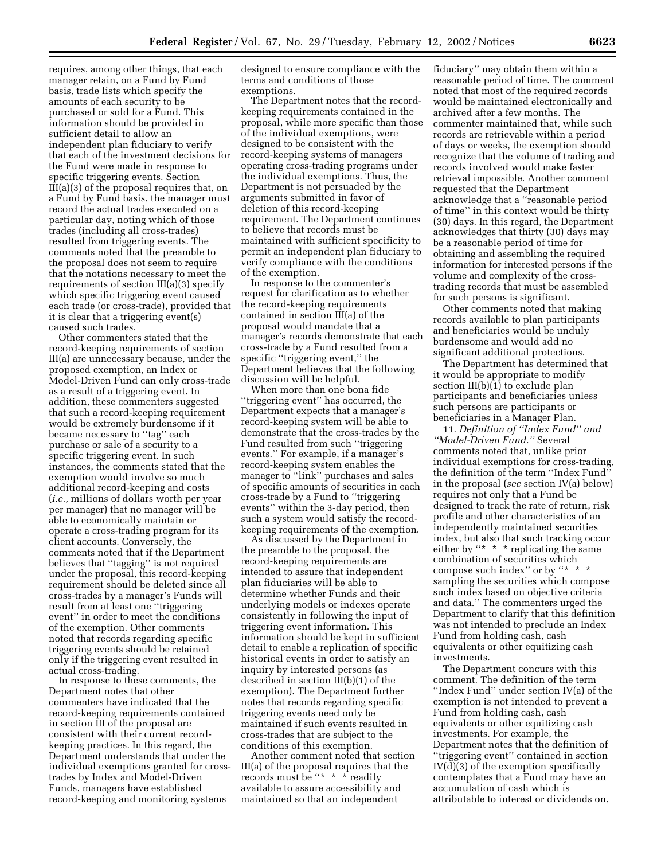requires, among other things, that each manager retain, on a Fund by Fund basis, trade lists which specify the amounts of each security to be purchased or sold for a Fund. This information should be provided in sufficient detail to allow an independent plan fiduciary to verify that each of the investment decisions for the Fund were made in response to specific triggering events. Section III(a)(3) of the proposal requires that, on a Fund by Fund basis, the manager must record the actual trades executed on a particular day, noting which of those trades (including all cross-trades) resulted from triggering events. The comments noted that the preamble to the proposal does not seem to require that the notations necessary to meet the requirements of section III(a)(3) specify which specific triggering event caused each trade (or cross-trade), provided that it is clear that a triggering event(s) caused such trades.

Other commenters stated that the record-keeping requirements of section III(a) are unnecessary because, under the proposed exemption, an Index or Model-Driven Fund can only cross-trade as a result of a triggering event. In addition, these commenters suggested that such a record-keeping requirement would be extremely burdensome if it became necessary to ''tag'' each purchase or sale of a security to a specific triggering event. In such instances, the comments stated that the exemption would involve so much additional record-keeping and costs (*i.e.,* millions of dollars worth per year per manager) that no manager will be able to economically maintain or operate a cross-trading program for its client accounts. Conversely, the comments noted that if the Department believes that ''tagging'' is not required under the proposal, this record-keeping requirement should be deleted since all cross-trades by a manager's Funds will result from at least one ''triggering event'' in order to meet the conditions of the exemption. Other comments noted that records regarding specific triggering events should be retained only if the triggering event resulted in actual cross-trading.

In response to these comments, the Department notes that other commenters have indicated that the record-keeping requirements contained in section III of the proposal are consistent with their current recordkeeping practices. In this regard, the Department understands that under the individual exemptions granted for crosstrades by Index and Model-Driven Funds, managers have established record-keeping and monitoring systems

designed to ensure compliance with the terms and conditions of those exemptions.

The Department notes that the recordkeeping requirements contained in the proposal, while more specific than those of the individual exemptions, were designed to be consistent with the record-keeping systems of managers operating cross-trading programs under the individual exemptions. Thus, the Department is not persuaded by the arguments submitted in favor of deletion of this record-keeping requirement. The Department continues to believe that records must be maintained with sufficient specificity to permit an independent plan fiduciary to verify compliance with the conditions of the exemption.

In response to the commenter's request for clarification as to whether the record-keeping requirements contained in section III(a) of the proposal would mandate that a manager's records demonstrate that each cross-trade by a Fund resulted from a specific "triggering event," the Department believes that the following discussion will be helpful.

When more than one bona fide ''triggering event'' has occurred, the Department expects that a manager's record-keeping system will be able to demonstrate that the cross-trades by the Fund resulted from such ''triggering events.'' For example, if a manager's record-keeping system enables the manager to ''link'' purchases and sales of specific amounts of securities in each cross-trade by a Fund to ''triggering events'' within the 3-day period, then such a system would satisfy the recordkeeping requirements of the exemption.

As discussed by the Department in the preamble to the proposal, the record-keeping requirements are intended to assure that independent plan fiduciaries will be able to determine whether Funds and their underlying models or indexes operate consistently in following the input of triggering event information. This information should be kept in sufficient detail to enable a replication of specific historical events in order to satisfy an inquiry by interested persons (as described in section III(b)(1) of the exemption). The Department further notes that records regarding specific triggering events need only be maintained if such events resulted in cross-trades that are subject to the conditions of this exemption.

Another comment noted that section III(a) of the proposal requires that the records must be "\* \* \* readily available to assure accessibility and maintained so that an independent

fiduciary'' may obtain them within a reasonable period of time. The comment noted that most of the required records would be maintained electronically and archived after a few months. The commenter maintained that, while such records are retrievable within a period of days or weeks, the exemption should recognize that the volume of trading and records involved would make faster retrieval impossible. Another comment requested that the Department acknowledge that a ''reasonable period of time'' in this context would be thirty (30) days. In this regard, the Department acknowledges that thirty (30) days may be a reasonable period of time for obtaining and assembling the required information for interested persons if the volume and complexity of the crosstrading records that must be assembled for such persons is significant.

Other comments noted that making records available to plan participants and beneficiaries would be unduly burdensome and would add no significant additional protections.

The Department has determined that it would be appropriate to modify section III(b)(1) to exclude plan participants and beneficiaries unless such persons are participants or beneficiaries in a Manager Plan.

11. *Definition of ''Index Fund'' and ''Model-Driven Fund.''* Several comments noted that, unlike prior individual exemptions for cross-trading, the definition of the term ''Index Fund'' in the proposal (*see* section IV(a) below) requires not only that a Fund be designed to track the rate of return, risk profile and other characteristics of an independently maintained securities index, but also that such tracking occur either by "\* \* \* replicating the same combination of securities which compose such index" or by "\* \* sampling the securities which compose such index based on objective criteria and data.'' The commenters urged the Department to clarify that this definition was not intended to preclude an Index Fund from holding cash, cash equivalents or other equitizing cash investments.

The Department concurs with this comment. The definition of the term ''Index Fund'' under section IV(a) of the exemption is not intended to prevent a Fund from holding cash, cash equivalents or other equitizing cash investments. For example, the Department notes that the definition of ''triggering event'' contained in section IV(d)(3) of the exemption specifically contemplates that a Fund may have an accumulation of cash which is attributable to interest or dividends on,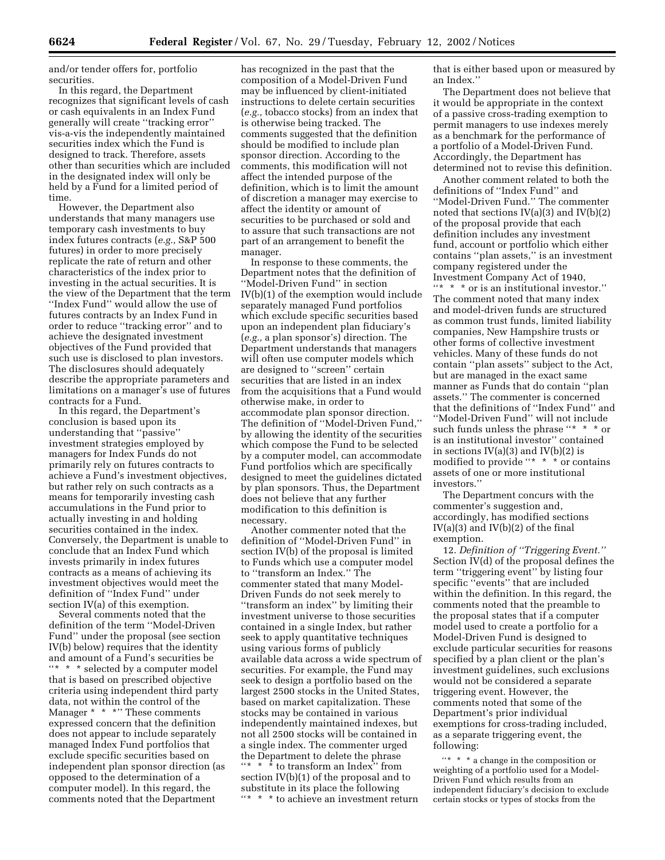and/or tender offers for, portfolio securities.

In this regard, the Department recognizes that significant levels of cash or cash equivalents in an Index Fund generally will create ''tracking error'' vis-a-vis the independently maintained securities index which the Fund is designed to track. Therefore, assets other than securities which are included in the designated index will only be held by a Fund for a limited period of time.

However, the Department also understands that many managers use temporary cash investments to buy index futures contracts (*e.g.,* S&P 500 futures) in order to more precisely replicate the rate of return and other characteristics of the index prior to investing in the actual securities. It is the view of the Department that the term ''Index Fund'' would allow the use of futures contracts by an Index Fund in order to reduce ''tracking error'' and to achieve the designated investment objectives of the Fund provided that such use is disclosed to plan investors. The disclosures should adequately describe the appropriate parameters and limitations on a manager's use of futures contracts for a Fund.

In this regard, the Department's conclusion is based upon its understanding that ''passive'' investment strategies employed by managers for Index Funds do not primarily rely on futures contracts to achieve a Fund's investment objectives, but rather rely on such contracts as a means for temporarily investing cash accumulations in the Fund prior to actually investing in and holding securities contained in the index. Conversely, the Department is unable to conclude that an Index Fund which invests primarily in index futures contracts as a means of achieving its investment objectives would meet the definition of ''Index Fund'' under section IV(a) of this exemption.

Several comments noted that the definition of the term ''Model-Driven Fund'' under the proposal (see section IV(b) below) requires that the identity and amount of a Fund's securities be "\* \* \* selected by a computer model that is based on prescribed objective criteria using independent third party data, not within the control of the Manager \* \* \*'' These comments expressed concern that the definition does not appear to include separately managed Index Fund portfolios that exclude specific securities based on independent plan sponsor direction (as opposed to the determination of a computer model). In this regard, the comments noted that the Department

has recognized in the past that the composition of a Model-Driven Fund may be influenced by client-initiated instructions to delete certain securities (*e.g.,* tobacco stocks) from an index that is otherwise being tracked. The comments suggested that the definition should be modified to include plan sponsor direction. According to the comments, this modification will not affect the intended purpose of the definition, which is to limit the amount of discretion a manager may exercise to affect the identity or amount of securities to be purchased or sold and to assure that such transactions are not part of an arrangement to benefit the manager.

In response to these comments, the Department notes that the definition of ''Model-Driven Fund'' in section IV(b)(1) of the exemption would include separately managed Fund portfolios which exclude specific securities based upon an independent plan fiduciary's (*e.g.,* a plan sponsor's) direction. The Department understands that managers will often use computer models which are designed to ''screen'' certain securities that are listed in an index from the acquisitions that a Fund would otherwise make, in order to accommodate plan sponsor direction. The definition of ''Model-Driven Fund,'' by allowing the identity of the securities which compose the Fund to be selected by a computer model, can accommodate Fund portfolios which are specifically designed to meet the guidelines dictated by plan sponsors. Thus, the Department does not believe that any further modification to this definition is necessary.

Another commenter noted that the definition of ''Model-Driven Fund'' in section IV(b) of the proposal is limited to Funds which use a computer model to ''transform an Index.'' The commenter stated that many Model-Driven Funds do not seek merely to ''transform an index'' by limiting their investment universe to those securities contained in a single Index, but rather seek to apply quantitative techniques using various forms of publicly available data across a wide spectrum of securities. For example, the Fund may seek to design a portfolio based on the largest 2500 stocks in the United States, based on market capitalization. These stocks may be contained in various independently maintained indexes, but not all 2500 stocks will be contained in a single index. The commenter urged the Department to delete the phrase ''\* \* \* to transform an Index'' from section IV(b)(1) of the proposal and to substitute in its place the following ''\* \* \* to achieve an investment return

that is either based upon or measured by an Index.''

The Department does not believe that it would be appropriate in the context of a passive cross-trading exemption to permit managers to use indexes merely as a benchmark for the performance of a portfolio of a Model-Driven Fund. Accordingly, the Department has determined not to revise this definition.

Another comment related to both the definitions of ''Index Fund'' and ''Model-Driven Fund.'' The commenter noted that sections  $IV(a)(3)$  and  $IV(b)(2)$ of the proposal provide that each definition includes any investment fund, account or portfolio which either contains ''plan assets,'' is an investment company registered under the Investment Company Act of 1940, ''\* \* \* or is an institutional investor.'' The comment noted that many index and model-driven funds are structured as common trust funds, limited liability companies, New Hampshire trusts or other forms of collective investment vehicles. Many of these funds do not contain ''plan assets'' subject to the Act, but are managed in the exact same manner as Funds that do contain ''plan assets.'' The commenter is concerned that the definitions of ''Index Fund'' and ''Model-Driven Fund'' will not include such funds unless the phrase ''\* \* \* or is an institutional investor'' contained in sections  $IV(a)(3)$  and  $IV(b)(2)$  is modified to provide ''\* \* \* or contains assets of one or more institutional investors.''

The Department concurs with the commenter's suggestion and, accordingly, has modified sections  $IV(a)(3)$  and  $IV(b)(2)$  of the final exemption.

12. *Definition of ''Triggering Event.''* Section IV(d) of the proposal defines the term ''triggering event'' by listing four specific ''events'' that are included within the definition. In this regard, the comments noted that the preamble to the proposal states that if a computer model used to create a portfolio for a Model-Driven Fund is designed to exclude particular securities for reasons specified by a plan client or the plan's investment guidelines, such exclusions would not be considered a separate triggering event. However, the comments noted that some of the Department's prior individual exemptions for cross-trading included, as a separate triggering event, the following:

''\* \* \* a change in the composition or weighting of a portfolio used for a Model-Driven Fund which results from an independent fiduciary's decision to exclude certain stocks or types of stocks from the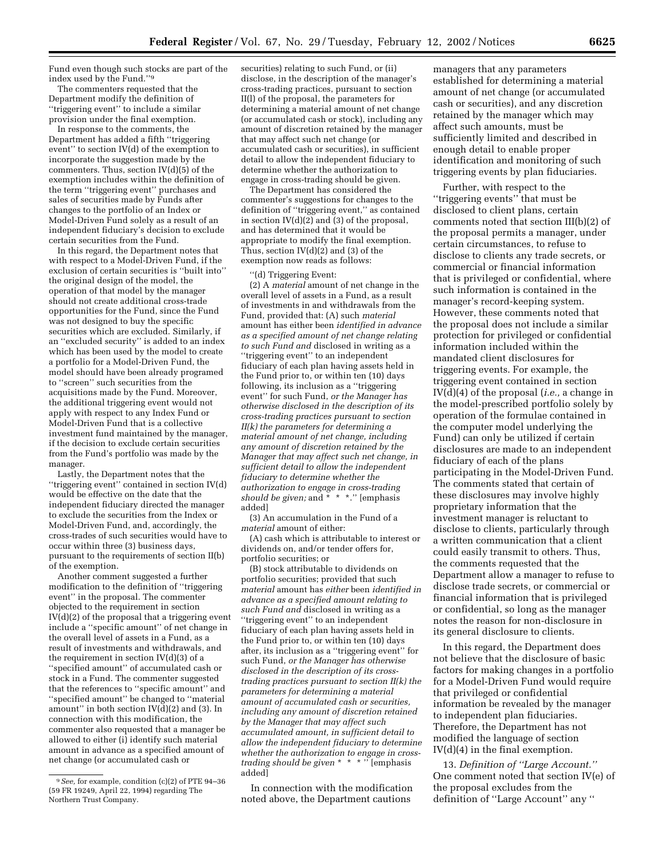Fund even though such stocks are part of the index used by the Fund.''9

The commenters requested that the Department modify the definition of ''triggering event'' to include a similar provision under the final exemption.

In response to the comments, the Department has added a fifth ''triggering event'' to section IV(d) of the exemption to incorporate the suggestion made by the commenters. Thus, section IV(d)(5) of the exemption includes within the definition of the term ''triggering event'' purchases and sales of securities made by Funds after changes to the portfolio of an Index or Model-Driven Fund solely as a result of an independent fiduciary's decision to exclude certain securities from the Fund.

In this regard, the Department notes that with respect to a Model-Driven Fund, if the exclusion of certain securities is ''built into'' the original design of the model, the operation of that model by the manager should not create additional cross-trade opportunities for the Fund, since the Fund was not designed to buy the specific securities which are excluded. Similarly, if an ''excluded security'' is added to an index which has been used by the model to create a portfolio for a Model-Driven Fund, the model should have been already programed to ''screen'' such securities from the acquisitions made by the Fund. Moreover, the additional triggering event would not apply with respect to any Index Fund or Model-Driven Fund that is a collective investment fund maintained by the manager, if the decision to exclude certain securities from the Fund's portfolio was made by the manager.

Lastly, the Department notes that the ''triggering event'' contained in section IV(d) would be effective on the date that the independent fiduciary directed the manager to exclude the securities from the Index or Model-Driven Fund, and, accordingly, the cross-trades of such securities would have to occur within three (3) business days, pursuant to the requirements of section II(b) of the exemption.

Another comment suggested a further modification to the definition of ''triggering event'' in the proposal. The commenter objected to the requirement in section IV(d)(2) of the proposal that a triggering event include a ''specific amount'' of net change in the overall level of assets in a Fund, as a result of investments and withdrawals, and the requirement in section  $IV(d)(3)$  of a ''specified amount'' of accumulated cash or stock in a Fund. The commenter suggested that the references to ''specific amount'' and ''specified amount'' be changed to ''material amount'' in both section IV(d)(2) and (3). In connection with this modification, the commenter also requested that a manager be allowed to either (i) identify such material amount in advance as a specified amount of net change (or accumulated cash or

securities) relating to such Fund, or (ii) disclose, in the description of the manager's cross-trading practices, pursuant to section II(l) of the proposal, the parameters for determining a material amount of net change (or accumulated cash or stock), including any amount of discretion retained by the manager that may affect such net change (or accumulated cash or securities), in sufficient detail to allow the independent fiduciary to determine whether the authorization to engage in cross-trading should be given.

The Department has considered the commenter's suggestions for changes to the definition of ''triggering event,'' as contained in section IV(d)(2) and (3) of the proposal, and has determined that it would be appropriate to modify the final exemption. Thus, section IV(d)(2) and (3) of the exemption now reads as follows:

(d) Triggering Event:

(2) A *material* amount of net change in the overall level of assets in a Fund, as a result of investments in and withdrawals from the Fund, provided that: (A) such *material* amount has either been *identified in advance as a specified amount of net change relating to such Fund and* disclosed in writing as a ''triggering event'' to an independent fiduciary of each plan having assets held in the Fund prior to, or within ten (10) days following, its inclusion as a ''triggering event'' for such Fund, *or the Manager has otherwise disclosed in the description of its cross-trading practices pursuant to section II(k) the parameters for determining a material amount of net change, including any amount of discretion retained by the Manager that may affect such net change, in sufficient detail to allow the independent fiduciary to determine whether the authorization to engage in cross-trading should be given;* and \* \* \*.'' [emphasis added]

(3) An accumulation in the Fund of a *material* amount of either:

(A) cash which is attributable to interest or dividends on, and/or tender offers for, portfolio securities; or

(B) stock attributable to dividends on portfolio securities; provided that such *material* amount has *either* been *identified in advance as a specified amount relating to such Fund and* disclosed in writing as a ''triggering event'' to an independent fiduciary of each plan having assets held in the Fund prior to, or within ten (10) days after, its inclusion as a ''triggering event'' for such Fund, *or the Manager has otherwise disclosed in the description of its crosstrading practices pursuant to section II(k) the parameters for determining a material amount of accumulated cash or securities, including any amount of discretion retained by the Manager that may affect such accumulated amount, in sufficient detail to allow the independent fiduciary to determine whether the authorization to engage in crosstrading should be given* \* \* \* '' [emphasis added]

In connection with the modification noted above, the Department cautions

managers that any parameters established for determining a material amount of net change (or accumulated cash or securities), and any discretion retained by the manager which may affect such amounts, must be sufficiently limited and described in enough detail to enable proper identification and monitoring of such triggering events by plan fiduciaries.

Further, with respect to the ''triggering events'' that must be disclosed to client plans, certain comments noted that section III(b)(2) of the proposal permits a manager, under certain circumstances, to refuse to disclose to clients any trade secrets, or commercial or financial information that is privileged or confidential, where such information is contained in the manager's record-keeping system. However, these comments noted that the proposal does not include a similar protection for privileged or confidential information included within the mandated client disclosures for triggering events. For example, the triggering event contained in section IV(d)(4) of the proposal (*i.e.,* a change in the model-prescribed portfolio solely by operation of the formulae contained in the computer model underlying the Fund) can only be utilized if certain disclosures are made to an independent fiduciary of each of the plans participating in the Model-Driven Fund. The comments stated that certain of these disclosures may involve highly proprietary information that the investment manager is reluctant to disclose to clients, particularly through a written communication that a client could easily transmit to others. Thus, the comments requested that the Department allow a manager to refuse to disclose trade secrets, or commercial or financial information that is privileged or confidential, so long as the manager notes the reason for non-disclosure in its general disclosure to clients.

In this regard, the Department does not believe that the disclosure of basic factors for making changes in a portfolio for a Model-Driven Fund would require that privileged or confidential information be revealed by the manager to independent plan fiduciaries. Therefore, the Department has not modified the language of section IV(d)(4) in the final exemption.

13. *Definition of ''Large Account.''* One comment noted that section IV(e) of the proposal excludes from the definition of ''Large Account'' any ''

<sup>9</sup>*See,* for example, condition (c)(2) of PTE 94–36 (59 FR 19249, April 22, 1994) regarding The Northern Trust Company.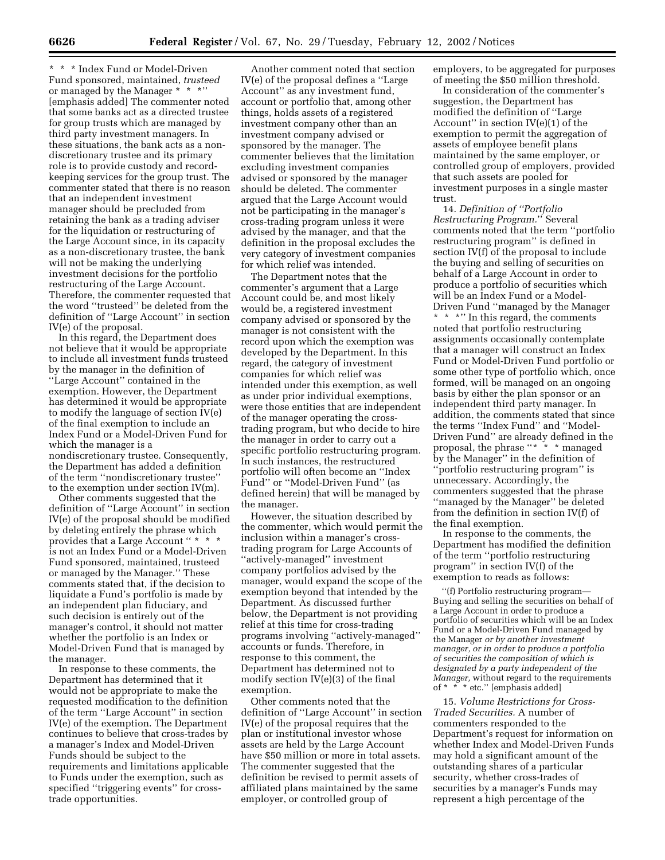\* \* \* Index Fund or Model-Driven Fund sponsored, maintained, *trusteed* or managed by the Manager \* \* \*'' [emphasis added] The commenter noted that some banks act as a directed trustee for group trusts which are managed by third party investment managers. In these situations, the bank acts as a nondiscretionary trustee and its primary role is to provide custody and recordkeeping services for the group trust. The commenter stated that there is no reason that an independent investment manager should be precluded from retaining the bank as a trading adviser for the liquidation or restructuring of the Large Account since, in its capacity as a non-discretionary trustee, the bank will not be making the underlying investment decisions for the portfolio restructuring of the Large Account. Therefore, the commenter requested that the word ''trusteed'' be deleted from the definition of ''Large Account'' in section IV(e) of the proposal.

In this regard, the Department does not believe that it would be appropriate to include all investment funds trusteed by the manager in the definition of ''Large Account'' contained in the exemption. However, the Department has determined it would be appropriate to modify the language of section IV(e) of the final exemption to include an Index Fund or a Model-Driven Fund for which the manager is a nondiscretionary trustee. Consequently, the Department has added a definition of the term ''nondiscretionary trustee'' to the exemption under section IV(m).

Other comments suggested that the definition of ''Large Account'' in section IV(e) of the proposal should be modified by deleting entirely the phrase which provides that a Large Account " \* \* \* is not an Index Fund or a Model-Driven Fund sponsored, maintained, trusteed or managed by the Manager.'' These comments stated that, if the decision to liquidate a Fund's portfolio is made by an independent plan fiduciary, and such decision is entirely out of the manager's control, it should not matter whether the portfolio is an Index or Model-Driven Fund that is managed by the manager.

In response to these comments, the Department has determined that it would not be appropriate to make the requested modification to the definition of the term ''Large Account'' in section IV(e) of the exemption. The Department continues to believe that cross-trades by a manager's Index and Model-Driven Funds should be subject to the requirements and limitations applicable to Funds under the exemption, such as specified ''triggering events'' for crosstrade opportunities.

Another comment noted that section IV(e) of the proposal defines a ''Large Account'' as any investment fund, account or portfolio that, among other things, holds assets of a registered investment company other than an investment company advised or sponsored by the manager. The commenter believes that the limitation excluding investment companies advised or sponsored by the manager should be deleted. The commenter argued that the Large Account would not be participating in the manager's cross-trading program unless it were advised by the manager, and that the definition in the proposal excludes the very category of investment companies for which relief was intended.

The Department notes that the commenter's argument that a Large Account could be, and most likely would be, a registered investment company advised or sponsored by the manager is not consistent with the record upon which the exemption was developed by the Department. In this regard, the category of investment companies for which relief was intended under this exemption, as well as under prior individual exemptions, were those entities that are independent of the manager operating the crosstrading program, but who decide to hire the manager in order to carry out a specific portfolio restructuring program. In such instances, the restructured portfolio will often become an ''Index Fund'' or ''Model-Driven Fund'' (as defined herein) that will be managed by the manager.

However, the situation described by the commenter, which would permit the inclusion within a manager's crosstrading program for Large Accounts of ''actively-managed'' investment company portfolios advised by the manager, would expand the scope of the exemption beyond that intended by the Department. As discussed further below, the Department is not providing relief at this time for cross-trading programs involving ''actively-managed'' accounts or funds. Therefore, in response to this comment, the Department has determined not to modify section IV(e)(3) of the final exemption.

Other comments noted that the definition of ''Large Account'' in section IV(e) of the proposal requires that the plan or institutional investor whose assets are held by the Large Account have \$50 million or more in total assets. The commenter suggested that the definition be revised to permit assets of affiliated plans maintained by the same employer, or controlled group of

employers, to be aggregated for purposes of meeting the \$50 million threshold.

In consideration of the commenter's suggestion, the Department has modified the definition of ''Large Account'' in section IV(e)(1) of the exemption to permit the aggregation of assets of employee benefit plans maintained by the same employer, or controlled group of employers, provided that such assets are pooled for investment purposes in a single master trust.

14. *Definition of ''Portfolio Restructuring Program.*'' Several comments noted that the term ''portfolio restructuring program'' is defined in section IV(f) of the proposal to include the buying and selling of securities on behalf of a Large Account in order to produce a portfolio of securities which will be an Index Fund or a Model-Driven Fund ''managed by the Manager \*\*\*'' In this regard, the comments noted that portfolio restructuring assignments occasionally contemplate that a manager will construct an Index Fund or Model-Driven Fund portfolio or some other type of portfolio which, once formed, will be managed on an ongoing basis by either the plan sponsor or an independent third party manager. In addition, the comments stated that since the terms ''Index Fund'' and ''Model-Driven Fund'' are already defined in the proposal, the phrase ''\* \* \* managed by the Manager'' in the definition of ''portfolio restructuring program'' is unnecessary. Accordingly, the commenters suggested that the phrase ''managed by the Manager'' be deleted from the definition in section IV(f) of the final exemption.

In response to the comments, the Department has modified the definition of the term ''portfolio restructuring program'' in section IV(f) of the exemption to reads as follows:

''(f) Portfolio restructuring program— Buying and selling the securities on behalf of a Large Account in order to produce a portfolio of securities which will be an Index Fund or a Model-Driven Fund managed by the Manager *or by another investment manager, or in order to produce a portfolio of securities the composition of which is designated by a party independent of the Manager,* without regard to the requirements of \* \* \* etc.'' [emphasis added]

15. *Volume Restrictions for Cross-Traded Securities.* A number of commenters responded to the Department's request for information on whether Index and Model-Driven Funds may hold a significant amount of the outstanding shares of a particular security, whether cross-trades of securities by a manager's Funds may represent a high percentage of the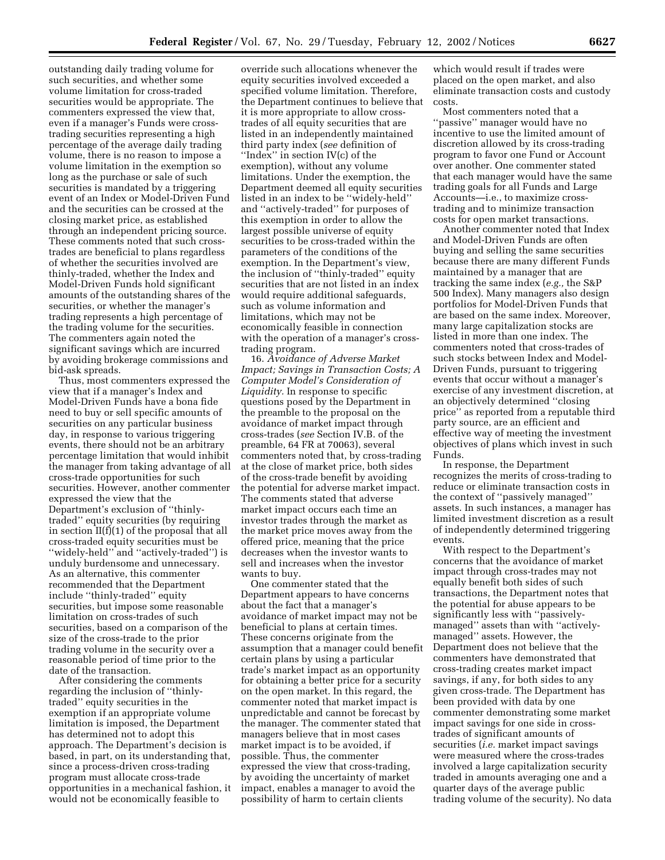outstanding daily trading volume for such securities, and whether some volume limitation for cross-traded securities would be appropriate. The commenters expressed the view that, even if a manager's Funds were crosstrading securities representing a high percentage of the average daily trading volume, there is no reason to impose a volume limitation in the exemption so long as the purchase or sale of such securities is mandated by a triggering event of an Index or Model-Driven Fund and the securities can be crossed at the closing market price, as established through an independent pricing source. These comments noted that such crosstrades are beneficial to plans regardless of whether the securities involved are thinly-traded, whether the Index and Model-Driven Funds hold significant amounts of the outstanding shares of the securities, or whether the manager's trading represents a high percentage of the trading volume for the securities. The commenters again noted the significant savings which are incurred by avoiding brokerage commissions and bid-ask spreads.

Thus, most commenters expressed the view that if a manager's Index and Model-Driven Funds have a bona fide need to buy or sell specific amounts of securities on any particular business day, in response to various triggering events, there should not be an arbitrary percentage limitation that would inhibit the manager from taking advantage of all cross-trade opportunities for such securities. However, another commenter expressed the view that the Department's exclusion of ''thinlytraded'' equity securities (by requiring in section II(f)(1) of the proposal that all cross-traded equity securities must be ''widely-held'' and ''actively-traded'') is unduly burdensome and unnecessary. As an alternative, this commenter recommended that the Department include ''thinly-traded'' equity securities, but impose some reasonable limitation on cross-trades of such securities, based on a comparison of the size of the cross-trade to the prior trading volume in the security over a reasonable period of time prior to the date of the transaction.

After considering the comments regarding the inclusion of ''thinlytraded'' equity securities in the exemption if an appropriate volume limitation is imposed, the Department has determined not to adopt this approach. The Department's decision is based, in part, on its understanding that, since a process-driven cross-trading program must allocate cross-trade opportunities in a mechanical fashion, it would not be economically feasible to

override such allocations whenever the equity securities involved exceeded a specified volume limitation. Therefore, the Department continues to believe that it is more appropriate to allow crosstrades of all equity securities that are listed in an independently maintained third party index (*see* definition of ''Index'' in section IV(c) of the exemption), without any volume limitations. Under the exemption, the Department deemed all equity securities listed in an index to be ''widely-held'' and ''actively-traded'' for purposes of this exemption in order to allow the largest possible universe of equity securities to be cross-traded within the parameters of the conditions of the exemption. In the Department's view, the inclusion of ''thinly-traded'' equity securities that are not listed in an index would require additional safeguards, such as volume information and limitations, which may not be economically feasible in connection with the operation of a manager's crosstrading program.

16. *Avoidance of Adverse Market Impact; Savings in Transaction Costs; A Computer Model's Consideration of Liquidity.* In response to specific questions posed by the Department in the preamble to the proposal on the avoidance of market impact through cross-trades (*see* Section IV.B. of the preamble, 64 FR at 70063), several commenters noted that, by cross-trading at the close of market price, both sides of the cross-trade benefit by avoiding the potential for adverse market impact. The comments stated that adverse market impact occurs each time an investor trades through the market as the market price moves away from the offered price, meaning that the price decreases when the investor wants to sell and increases when the investor wants to buy.

One commenter stated that the Department appears to have concerns about the fact that a manager's avoidance of market impact may not be beneficial to plans at certain times. These concerns originate from the assumption that a manager could benefit certain plans by using a particular trade's market impact as an opportunity for obtaining a better price for a security on the open market. In this regard, the commenter noted that market impact is unpredictable and cannot be forecast by the manager. The commenter stated that managers believe that in most cases market impact is to be avoided, if possible. Thus, the commenter expressed the view that cross-trading, by avoiding the uncertainty of market impact, enables a manager to avoid the possibility of harm to certain clients

which would result if trades were placed on the open market, and also eliminate transaction costs and custody costs.

Most commenters noted that a ''passive'' manager would have no incentive to use the limited amount of discretion allowed by its cross-trading program to favor one Fund or Account over another. One commenter stated that each manager would have the same trading goals for all Funds and Large Accounts—i.e., to maximize crosstrading and to minimize transaction costs for open market transactions.

Another commenter noted that Index and Model-Driven Funds are often buying and selling the same securities because there are many different Funds maintained by a manager that are tracking the same index (*e.g.,* the S&P 500 Index). Many managers also design portfolios for Model-Driven Funds that are based on the same index. Moreover, many large capitalization stocks are listed in more than one index. The commenters noted that cross-trades of such stocks between Index and Model-Driven Funds, pursuant to triggering events that occur without a manager's exercise of any investment discretion, at an objectively determined ''closing price'' as reported from a reputable third party source, are an efficient and effective way of meeting the investment objectives of plans which invest in such Funds.

In response, the Department recognizes the merits of cross-trading to reduce or eliminate transaction costs in the context of ''passively managed'' assets. In such instances, a manager has limited investment discretion as a result of independently determined triggering events.

With respect to the Department's concerns that the avoidance of market impact through cross-trades may not equally benefit both sides of such transactions, the Department notes that the potential for abuse appears to be significantly less with ''passivelymanaged'' assets than with ''activelymanaged'' assets. However, the Department does not believe that the commenters have demonstrated that cross-trading creates market impact savings, if any, for both sides to any given cross-trade. The Department has been provided with data by one commenter demonstrating some market impact savings for one side in crosstrades of significant amounts of securities (*i.e.* market impact savings were measured where the cross-trades involved a large capitalization security traded in amounts averaging one and a quarter days of the average public trading volume of the security). No data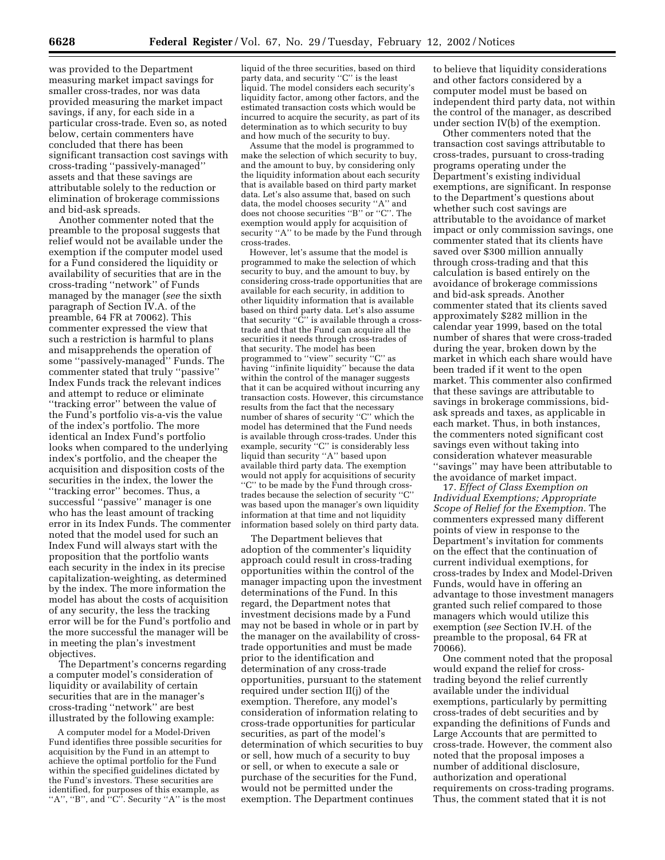was provided to the Department measuring market impact savings for smaller cross-trades, nor was data provided measuring the market impact savings, if any, for each side in a particular cross-trade. Even so, as noted below, certain commenters have concluded that there has been significant transaction cost savings with cross-trading ''passively-managed'' assets and that these savings are attributable solely to the reduction or elimination of brokerage commissions and bid-ask spreads.

Another commenter noted that the preamble to the proposal suggests that relief would not be available under the exemption if the computer model used for a Fund considered the liquidity or availability of securities that are in the cross-trading ''network'' of Funds managed by the manager (*see* the sixth paragraph of Section IV.A. of the preamble, 64 FR at 70062). This commenter expressed the view that such a restriction is harmful to plans and misapprehends the operation of some ''passively-managed'' Funds. The commenter stated that truly ''passive'' Index Funds track the relevant indices and attempt to reduce or eliminate ''tracking error'' between the value of the Fund's portfolio vis-a-vis the value of the index's portfolio. The more identical an Index Fund's portfolio looks when compared to the underlying index's portfolio, and the cheaper the acquisition and disposition costs of the securities in the index, the lower the ''tracking error'' becomes. Thus, a successful ''passive'' manager is one who has the least amount of tracking error in its Index Funds. The commenter noted that the model used for such an Index Fund will always start with the proposition that the portfolio wants each security in the index in its precise capitalization-weighting, as determined by the index. The more information the model has about the costs of acquisition of any security, the less the tracking error will be for the Fund's portfolio and the more successful the manager will be in meeting the plan's investment objectives.

The Department's concerns regarding a computer model's consideration of liquidity or availability of certain securities that are in the manager's cross-trading ''network'' are best illustrated by the following example:

A computer model for a Model-Driven Fund identifies three possible securities for acquisition by the Fund in an attempt to achieve the optimal portfolio for the Fund within the specified guidelines dictated by the Fund's investors. These securities are identified, for purposes of this example, as "A", "B", and  $\cdot$ "C". Security "A" is the most

liquid of the three securities, based on third party data, and security "C" is the least liquid. The model considers each security's liquidity factor, among other factors, and the estimated transaction costs which would be incurred to acquire the security, as part of its determination as to which security to buy and how much of the security to buy.

Assume that the model is programmed to make the selection of which security to buy, and the amount to buy, by considering only the liquidity information about each security that is available based on third party market data. Let's also assume that, based on such data, the model chooses security ''A'' and does not choose securities ''B'' or ''C''. The exemption would apply for acquisition of security ''A'' to be made by the Fund through cross-trades.

However, let's assume that the model is programmed to make the selection of which security to buy, and the amount to buy, by considering cross-trade opportunities that are available for each security, in addition to other liquidity information that is available based on third party data. Let's also assume that security "C" is available through a crosstrade and that the Fund can acquire all the securities it needs through cross-trades of that security. The model has been programmed to ''view'' security ''C'' as having ''infinite liquidity'' because the data within the control of the manager suggests that it can be acquired without incurring any transaction costs. However, this circumstance results from the fact that the necessary number of shares of security ''C'' which the model has determined that the Fund needs is available through cross-trades. Under this example, security ''C'' is considerably less liquid than security "A" based upon available third party data. The exemption would not apply for acquisitions of security ''C'' to be made by the Fund through crosstrades because the selection of security ''C'' was based upon the manager's own liquidity information at that time and not liquidity information based solely on third party data.

The Department believes that adoption of the commenter's liquidity approach could result in cross-trading opportunities within the control of the manager impacting upon the investment determinations of the Fund. In this regard, the Department notes that investment decisions made by a Fund may not be based in whole or in part by the manager on the availability of crosstrade opportunities and must be made prior to the identification and determination of any cross-trade opportunities, pursuant to the statement required under section II(j) of the exemption. Therefore, any model's consideration of information relating to cross-trade opportunities for particular securities, as part of the model's determination of which securities to buy or sell, how much of a security to buy or sell, or when to execute a sale or purchase of the securities for the Fund, would not be permitted under the exemption. The Department continues

to believe that liquidity considerations and other factors considered by a computer model must be based on independent third party data, not within the control of the manager, as described under section IV(b) of the exemption.

Other commenters noted that the transaction cost savings attributable to cross-trades, pursuant to cross-trading programs operating under the Department's existing individual exemptions, are significant. In response to the Department's questions about whether such cost savings are attributable to the avoidance of market impact or only commission savings, one commenter stated that its clients have saved over \$300 million annually through cross-trading and that this calculation is based entirely on the avoidance of brokerage commissions and bid-ask spreads. Another commenter stated that its clients saved approximately \$282 million in the calendar year 1999, based on the total number of shares that were cross-traded during the year, broken down by the market in which each share would have been traded if it went to the open market. This commenter also confirmed that these savings are attributable to savings in brokerage commissions, bidask spreads and taxes, as applicable in each market. Thus, in both instances, the commenters noted significant cost savings even without taking into consideration whatever measurable ''savings'' may have been attributable to the avoidance of market impact.

17. *Effect of Class Exemption on Individual Exemptions; Appropriate Scope of Relief for the Exemption.* The commenters expressed many different points of view in response to the Department's invitation for comments on the effect that the continuation of current individual exemptions, for cross-trades by Index and Model-Driven Funds, would have in offering an advantage to those investment managers granted such relief compared to those managers which would utilize this exemption (*see* Section IV.H. of the preamble to the proposal, 64 FR at 70066).

One comment noted that the proposal would expand the relief for crosstrading beyond the relief currently available under the individual exemptions, particularly by permitting cross-trades of debt securities and by expanding the definitions of Funds and Large Accounts that are permitted to cross-trade. However, the comment also noted that the proposal imposes a number of additional disclosure, authorization and operational requirements on cross-trading programs. Thus, the comment stated that it is not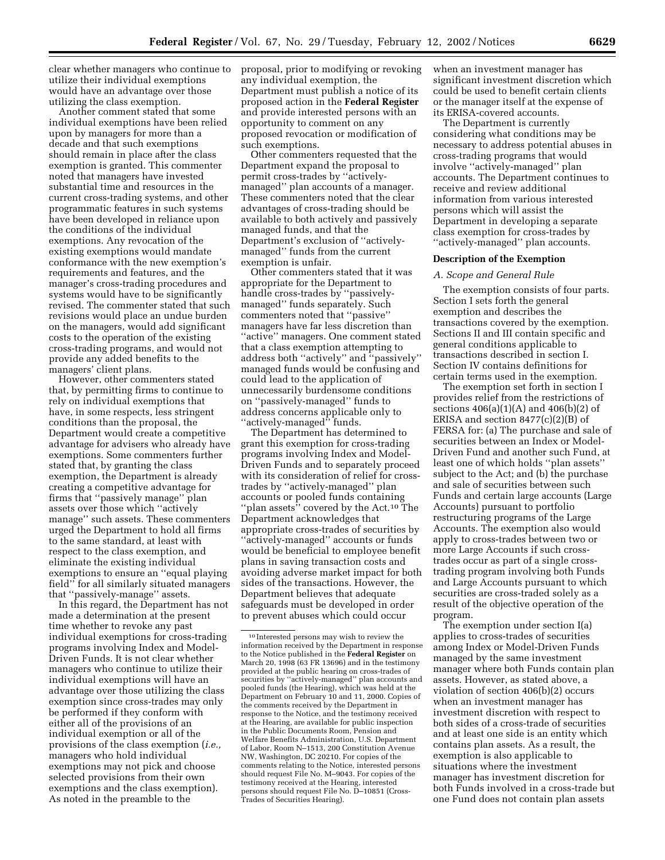clear whether managers who continue to utilize their individual exemptions would have an advantage over those utilizing the class exemption.

Another comment stated that some individual exemptions have been relied upon by managers for more than a decade and that such exemptions should remain in place after the class exemption is granted. This commenter noted that managers have invested substantial time and resources in the current cross-trading systems, and other programmatic features in such systems have been developed in reliance upon the conditions of the individual exemptions. Any revocation of the existing exemptions would mandate conformance with the new exemption's requirements and features, and the manager's cross-trading procedures and systems would have to be significantly revised. The commenter stated that such revisions would place an undue burden on the managers, would add significant costs to the operation of the existing cross-trading programs, and would not provide any added benefits to the managers' client plans.

However, other commenters stated that, by permitting firms to continue to rely on individual exemptions that have, in some respects, less stringent conditions than the proposal, the Department would create a competitive advantage for advisers who already have exemptions. Some commenters further stated that, by granting the class exemption, the Department is already creating a competitive advantage for firms that ''passively manage'' plan assets over those which ''actively manage'' such assets. These commenters urged the Department to hold all firms to the same standard, at least with respect to the class exemption, and eliminate the existing individual exemptions to ensure an ''equal playing field'' for all similarly situated managers that ''passively-manage'' assets.

In this regard, the Department has not made a determination at the present time whether to revoke any past individual exemptions for cross-trading programs involving Index and Model-Driven Funds. It is not clear whether managers who continue to utilize their individual exemptions will have an advantage over those utilizing the class exemption since cross-trades may only be performed if they conform with either all of the provisions of an individual exemption or all of the provisions of the class exemption (*i.e.,* managers who hold individual exemptions may not pick and choose selected provisions from their own exemptions and the class exemption). As noted in the preamble to the

proposal, prior to modifying or revoking any individual exemption, the Department must publish a notice of its proposed action in the **Federal Register** and provide interested persons with an opportunity to comment on any proposed revocation or modification of such exemptions.

Other commenters requested that the Department expand the proposal to permit cross-trades by ''activelymanaged'' plan accounts of a manager. These commenters noted that the clear advantages of cross-trading should be available to both actively and passively managed funds, and that the Department's exclusion of ''activelymanaged'' funds from the current exemption is unfair.

Other commenters stated that it was appropriate for the Department to handle cross-trades by ''passivelymanaged'' funds separately. Such commenters noted that ''passive'' managers have far less discretion than "active" managers. One comment stated that a class exemption attempting to address both ''actively'' and ''passively'' managed funds would be confusing and could lead to the application of unnecessarily burdensome conditions on ''passively-managed'' funds to address concerns applicable only to "actively-managed" funds.

The Department has determined to grant this exemption for cross-trading programs involving Index and Model-Driven Funds and to separately proceed with its consideration of relief for crosstrades by ''actively-managed'' plan accounts or pooled funds containing "plan assets" covered by the Act.<sup>10</sup> The Department acknowledges that appropriate cross-trades of securities by ''actively-managed'' accounts or funds would be beneficial to employee benefit plans in saving transaction costs and avoiding adverse market impact for both sides of the transactions. However, the Department believes that adequate safeguards must be developed in order to prevent abuses which could occur

when an investment manager has significant investment discretion which could be used to benefit certain clients or the manager itself at the expense of its ERISA-covered accounts.

The Department is currently considering what conditions may be necessary to address potential abuses in cross-trading programs that would involve ''actively-managed'' plan accounts. The Department continues to receive and review additional information from various interested persons which will assist the Department in developing a separate class exemption for cross-trades by ''actively-managed'' plan accounts.

#### **Description of the Exemption**

#### *A. Scope and General Rule*

The exemption consists of four parts. Section I sets forth the general exemption and describes the transactions covered by the exemption. Sections II and III contain specific and general conditions applicable to transactions described in section I. Section IV contains definitions for certain terms used in the exemption.

The exemption set forth in section I provides relief from the restrictions of sections 406(a)(1)(A) and 406(b)(2) of ERISA and section 8477(c)(2)(B) of FERSA for: (a) The purchase and sale of securities between an Index or Model-Driven Fund and another such Fund, at least one of which holds ''plan assets'' subject to the Act; and (b) the purchase and sale of securities between such Funds and certain large accounts (Large Accounts) pursuant to portfolio restructuring programs of the Large Accounts. The exemption also would apply to cross-trades between two or more Large Accounts if such crosstrades occur as part of a single crosstrading program involving both Funds and Large Accounts pursuant to which securities are cross-traded solely as a result of the objective operation of the program.

The exemption under section I(a) applies to cross-trades of securities among Index or Model-Driven Funds managed by the same investment manager where both Funds contain plan assets. However, as stated above, a violation of section 406(b)(2) occurs when an investment manager has investment discretion with respect to both sides of a cross-trade of securities and at least one side is an entity which contains plan assets. As a result, the exemption is also applicable to situations where the investment manager has investment discretion for both Funds involved in a cross-trade but one Fund does not contain plan assets

<sup>10</sup> Interested persons may wish to review the information received by the Department in response to the Notice published in the **Federal Register** on March 20, 1998 (63 FR 13696) and in the testimony provided at the public hearing on cross-trades of securities by ''actively-managed'' plan accounts and pooled funds (the Hearing), which was held at the Department on February 10 and 11, 2000. Copies of the comments received by the Department in response to the Notice, and the testimony received at the Hearing, are available for public inspection in the Public Documents Room, Pension and Welfare Benefits Administration, U.S. Department of Labor, Room N–1513, 200 Constitution Avenue NW, Washington, DC 20210. For copies of the comments relating to the Notice, interested persons should request File No. M–9043. For copies of the testimony received at the Hearing, interested persons should request File No. D–10851 (Cross-Trades of Securities Hearing).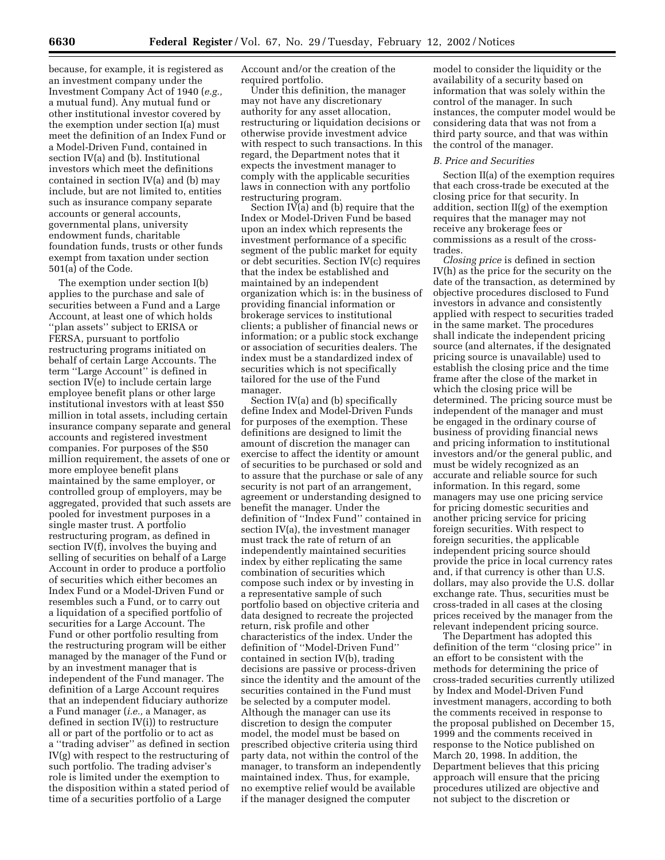because, for example, it is registered as an investment company under the Investment Company Act of 1940 (*e.g.,* a mutual fund). Any mutual fund or other institutional investor covered by the exemption under section I(a) must meet the definition of an Index Fund or a Model-Driven Fund, contained in section IV(a) and (b). Institutional investors which meet the definitions contained in section IV(a) and (b) may include, but are not limited to, entities such as insurance company separate accounts or general accounts, governmental plans, university endowment funds, charitable foundation funds, trusts or other funds exempt from taxation under section 501(a) of the Code.

The exemption under section I(b) applies to the purchase and sale of securities between a Fund and a Large Account, at least one of which holds ''plan assets'' subject to ERISA or FERSA, pursuant to portfolio restructuring programs initiated on behalf of certain Large Accounts. The term ''Large Account'' is defined in section IV(e) to include certain large employee benefit plans or other large institutional investors with at least \$50 million in total assets, including certain insurance company separate and general accounts and registered investment companies. For purposes of the \$50 million requirement, the assets of one or more employee benefit plans maintained by the same employer, or controlled group of employers, may be aggregated, provided that such assets are pooled for investment purposes in a single master trust. A portfolio restructuring program, as defined in section IV(f), involves the buying and selling of securities on behalf of a Large Account in order to produce a portfolio of securities which either becomes an Index Fund or a Model-Driven Fund or resembles such a Fund, or to carry out a liquidation of a specified portfolio of securities for a Large Account. The Fund or other portfolio resulting from the restructuring program will be either managed by the manager of the Fund or by an investment manager that is independent of the Fund manager. The definition of a Large Account requires that an independent fiduciary authorize a Fund manager (*i.e.,* a Manager, as defined in section IV(i)) to restructure all or part of the portfolio or to act as a ''trading adviser'' as defined in section IV(g) with respect to the restructuring of such portfolio. The trading adviser's role is limited under the exemption to the disposition within a stated period of time of a securities portfolio of a Large

Account and/or the creation of the required portfolio.

Under this definition, the manager may not have any discretionary authority for any asset allocation, restructuring or liquidation decisions or otherwise provide investment advice with respect to such transactions. In this regard, the Department notes that it expects the investment manager to comply with the applicable securities laws in connection with any portfolio restructuring program.

Section  $\overline{IV(a)}$  and (b) require that the Index or Model-Driven Fund be based upon an index which represents the investment performance of a specific segment of the public market for equity or debt securities. Section IV(c) requires that the index be established and maintained by an independent organization which is: in the business of providing financial information or brokerage services to institutional clients; a publisher of financial news or information; or a public stock exchange or association of securities dealers. The index must be a standardized index of securities which is not specifically tailored for the use of the Fund manager.

Section IV(a) and (b) specifically define Index and Model-Driven Funds for purposes of the exemption. These definitions are designed to limit the amount of discretion the manager can exercise to affect the identity or amount of securities to be purchased or sold and to assure that the purchase or sale of any security is not part of an arrangement, agreement or understanding designed to benefit the manager. Under the definition of ''Index Fund'' contained in section IV(a), the investment manager must track the rate of return of an independently maintained securities index by either replicating the same combination of securities which compose such index or by investing in a representative sample of such portfolio based on objective criteria and data designed to recreate the projected return, risk profile and other characteristics of the index. Under the definition of ''Model-Driven Fund'' contained in section IV(b), trading decisions are passive or process-driven since the identity and the amount of the securities contained in the Fund must be selected by a computer model. Although the manager can use its discretion to design the computer model, the model must be based on prescribed objective criteria using third party data, not within the control of the manager, to transform an independently maintained index. Thus, for example, no exemptive relief would be available if the manager designed the computer

model to consider the liquidity or the availability of a security based on information that was solely within the control of the manager. In such instances, the computer model would be considering data that was not from a third party source, and that was within the control of the manager.

#### *B. Price and Securities*

Section II(a) of the exemption requires that each cross-trade be executed at the closing price for that security. In addition, section II(g) of the exemption requires that the manager may not receive any brokerage fees or commissions as a result of the crosstrades.

*Closing price* is defined in section IV(h) as the price for the security on the date of the transaction, as determined by objective procedures disclosed to Fund investors in advance and consistently applied with respect to securities traded in the same market. The procedures shall indicate the independent pricing source (and alternates, if the designated pricing source is unavailable) used to establish the closing price and the time frame after the close of the market in which the closing price will be determined. The pricing source must be independent of the manager and must be engaged in the ordinary course of business of providing financial news and pricing information to institutional investors and/or the general public, and must be widely recognized as an accurate and reliable source for such information. In this regard, some managers may use one pricing service for pricing domestic securities and another pricing service for pricing foreign securities. With respect to foreign securities, the applicable independent pricing source should provide the price in local currency rates and, if that currency is other than U.S. dollars, may also provide the U.S. dollar exchange rate. Thus, securities must be cross-traded in all cases at the closing prices received by the manager from the relevant independent pricing source.

The Department has adopted this definition of the term ''closing price'' in an effort to be consistent with the methods for determining the price of cross-traded securities currently utilized by Index and Model-Driven Fund investment managers, according to both the comments received in response to the proposal published on December 15, 1999 and the comments received in response to the Notice published on March 20, 1998. In addition, the Department believes that this pricing approach will ensure that the pricing procedures utilized are objective and not subject to the discretion or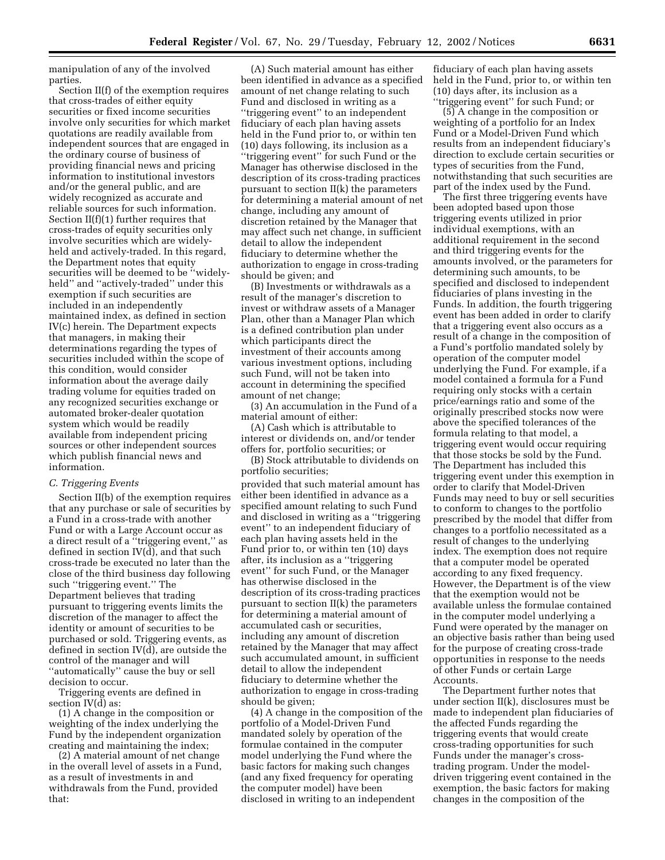manipulation of any of the involved parties.

Section II(f) of the exemption requires that cross-trades of either equity securities or fixed income securities involve only securities for which market quotations are readily available from independent sources that are engaged in the ordinary course of business of providing financial news and pricing information to institutional investors and/or the general public, and are widely recognized as accurate and reliable sources for such information. Section II(f)(1) further requires that cross-trades of equity securities only involve securities which are widelyheld and actively-traded. In this regard, the Department notes that equity securities will be deemed to be "widelyheld'' and ''actively-traded'' under this exemption if such securities are included in an independently maintained index, as defined in section IV(c) herein. The Department expects that managers, in making their determinations regarding the types of securities included within the scope of this condition, would consider information about the average daily trading volume for equities traded on any recognized securities exchange or automated broker-dealer quotation system which would be readily available from independent pricing sources or other independent sources which publish financial news and information.

#### *C. Triggering Events*

Section II(b) of the exemption requires that any purchase or sale of securities by a Fund in a cross-trade with another Fund or with a Large Account occur as a direct result of a ''triggering event,'' as defined in section IV(d), and that such cross-trade be executed no later than the close of the third business day following such ''triggering event.'' The Department believes that trading pursuant to triggering events limits the discretion of the manager to affect the identity or amount of securities to be purchased or sold. Triggering events, as defined in section IV(d), are outside the control of the manager and will ''automatically'' cause the buy or sell decision to occur.

Triggering events are defined in section IV(d) as:

(1) A change in the composition or weighting of the index underlying the Fund by the independent organization creating and maintaining the index;

(2) A material amount of net change in the overall level of assets in a Fund, as a result of investments in and withdrawals from the Fund, provided that:

(A) Such material amount has either been identified in advance as a specified amount of net change relating to such Fund and disclosed in writing as a ''triggering event'' to an independent fiduciary of each plan having assets held in the Fund prior to, or within ten (10) days following, its inclusion as a ''triggering event'' for such Fund or the Manager has otherwise disclosed in the description of its cross-trading practices pursuant to section II(k) the parameters for determining a material amount of net change, including any amount of discretion retained by the Manager that may affect such net change, in sufficient detail to allow the independent fiduciary to determine whether the authorization to engage in cross-trading should be given; and

(B) Investments or withdrawals as a result of the manager's discretion to invest or withdraw assets of a Manager Plan, other than a Manager Plan which is a defined contribution plan under which participants direct the investment of their accounts among various investment options, including such Fund, will not be taken into account in determining the specified amount of net change;

(3) An accumulation in the Fund of a material amount of either:

(A) Cash which is attributable to interest or dividends on, and/or tender offers for, portfolio securities; or

(B) Stock attributable to dividends on portfolio securities;

provided that such material amount has either been identified in advance as a specified amount relating to such Fund and disclosed in writing as a ''triggering event'' to an independent fiduciary of each plan having assets held in the Fund prior to, or within ten (10) days after, its inclusion as a ''triggering event'' for such Fund, or the Manager has otherwise disclosed in the description of its cross-trading practices pursuant to section II(k) the parameters for determining a material amount of accumulated cash or securities, including any amount of discretion retained by the Manager that may affect such accumulated amount, in sufficient detail to allow the independent fiduciary to determine whether the authorization to engage in cross-trading should be given;

(4) A change in the composition of the portfolio of a Model-Driven Fund mandated solely by operation of the formulae contained in the computer model underlying the Fund where the basic factors for making such changes (and any fixed frequency for operating the computer model) have been disclosed in writing to an independent

fiduciary of each plan having assets held in the Fund, prior to, or within ten (10) days after, its inclusion as a ''triggering event'' for such Fund; or

(5) A change in the composition or weighting of a portfolio for an Index Fund or a Model-Driven Fund which results from an independent fiduciary's direction to exclude certain securities or types of securities from the Fund, notwithstanding that such securities are part of the index used by the Fund.

The first three triggering events have been adopted based upon those triggering events utilized in prior individual exemptions, with an additional requirement in the second and third triggering events for the amounts involved, or the parameters for determining such amounts, to be specified and disclosed to independent fiduciaries of plans investing in the Funds. In addition, the fourth triggering event has been added in order to clarify that a triggering event also occurs as a result of a change in the composition of a Fund's portfolio mandated solely by operation of the computer model underlying the Fund. For example, if a model contained a formula for a Fund requiring only stocks with a certain price/earnings ratio and some of the originally prescribed stocks now were above the specified tolerances of the formula relating to that model, a triggering event would occur requiring that those stocks be sold by the Fund. The Department has included this triggering event under this exemption in order to clarify that Model-Driven Funds may need to buy or sell securities to conform to changes to the portfolio prescribed by the model that differ from changes to a portfolio necessitated as a result of changes to the underlying index. The exemption does not require that a computer model be operated according to any fixed frequency. However, the Department is of the view that the exemption would not be available unless the formulae contained in the computer model underlying a Fund were operated by the manager on an objective basis rather than being used for the purpose of creating cross-trade opportunities in response to the needs of other Funds or certain Large Accounts.

The Department further notes that under section II(k), disclosures must be made to independent plan fiduciaries of the affected Funds regarding the triggering events that would create cross-trading opportunities for such Funds under the manager's crosstrading program. Under the modeldriven triggering event contained in the exemption, the basic factors for making changes in the composition of the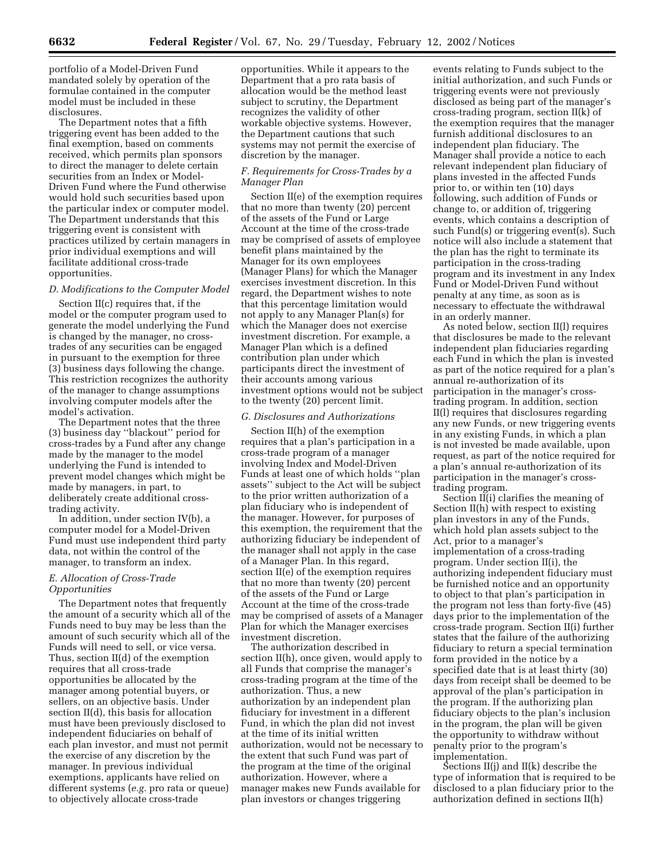portfolio of a Model-Driven Fund mandated solely by operation of the formulae contained in the computer model must be included in these disclosures.

The Department notes that a fifth triggering event has been added to the final exemption, based on comments received, which permits plan sponsors to direct the manager to delete certain securities from an Index or Model-Driven Fund where the Fund otherwise would hold such securities based upon the particular index or computer model. The Department understands that this triggering event is consistent with practices utilized by certain managers in prior individual exemptions and will facilitate additional cross-trade opportunities.

#### *D. Modifications to the Computer Model*

Section II(c) requires that, if the model or the computer program used to generate the model underlying the Fund is changed by the manager, no crosstrades of any securities can be engaged in pursuant to the exemption for three (3) business days following the change. This restriction recognizes the authority of the manager to change assumptions involving computer models after the model's activation.

The Department notes that the three (3) business day ''blackout'' period for cross-trades by a Fund after any change made by the manager to the model underlying the Fund is intended to prevent model changes which might be made by managers, in part, to deliberately create additional crosstrading activity.

In addition, under section IV(b), a computer model for a Model-Driven Fund must use independent third party data, not within the control of the manager, to transform an index.

# *E. Allocation of Cross-Trade Opportunities*

The Department notes that frequently the amount of a security which all of the Funds need to buy may be less than the amount of such security which all of the Funds will need to sell, or vice versa. Thus, section II(d) of the exemption requires that all cross-trade opportunities be allocated by the manager among potential buyers, or sellers, on an objective basis. Under section II(d), this basis for allocation must have been previously disclosed to independent fiduciaries on behalf of each plan investor, and must not permit the exercise of any discretion by the manager. In previous individual exemptions, applicants have relied on different systems (*e.g.* pro rata or queue) to objectively allocate cross-trade

opportunities. While it appears to the Department that a pro rata basis of allocation would be the method least subject to scrutiny, the Department recognizes the validity of other workable objective systems. However, the Department cautions that such systems may not permit the exercise of discretion by the manager.

# *F. Requirements for Cross-Trades by a Manager Plan*

Section II(e) of the exemption requires that no more than twenty (20) percent of the assets of the Fund or Large Account at the time of the cross-trade may be comprised of assets of employee benefit plans maintained by the Manager for its own employees (Manager Plans) for which the Manager exercises investment discretion. In this regard, the Department wishes to note that this percentage limitation would not apply to any Manager Plan(s) for which the Manager does not exercise investment discretion. For example, a Manager Plan which is a defined contribution plan under which participants direct the investment of their accounts among various investment options would not be subject to the twenty (20) percent limit.

### *G. Disclosures and Authorizations*

Section II(h) of the exemption requires that a plan's participation in a cross-trade program of a manager involving Index and Model-Driven Funds at least one of which holds ''plan assets'' subject to the Act will be subject to the prior written authorization of a plan fiduciary who is independent of the manager. However, for purposes of this exemption, the requirement that the authorizing fiduciary be independent of the manager shall not apply in the case of a Manager Plan. In this regard, section II(e) of the exemption requires that no more than twenty (20) percent of the assets of the Fund or Large Account at the time of the cross-trade may be comprised of assets of a Manager Plan for which the Manager exercises investment discretion.

The authorization described in section II(h), once given, would apply to all Funds that comprise the manager's cross-trading program at the time of the authorization. Thus, a new authorization by an independent plan fiduciary for investment in a different Fund, in which the plan did not invest at the time of its initial written authorization, would not be necessary to the extent that such Fund was part of the program at the time of the original authorization. However, where a manager makes new Funds available for plan investors or changes triggering

events relating to Funds subject to the initial authorization, and such Funds or triggering events were not previously disclosed as being part of the manager's cross-trading program, section II(k) of the exemption requires that the manager furnish additional disclosures to an independent plan fiduciary. The Manager shall provide a notice to each relevant independent plan fiduciary of plans invested in the affected Funds prior to, or within ten (10) days following, such addition of Funds or change to, or addition of, triggering events, which contains a description of such Fund(s) or triggering event(s). Such notice will also include a statement that the plan has the right to terminate its participation in the cross-trading program and its investment in any Index Fund or Model-Driven Fund without penalty at any time, as soon as is necessary to effectuate the withdrawal in an orderly manner.

As noted below, section II(l) requires that disclosures be made to the relevant independent plan fiduciaries regarding each Fund in which the plan is invested as part of the notice required for a plan's annual re-authorization of its participation in the manager's crosstrading program. In addition, section II(l) requires that disclosures regarding any new Funds, or new triggering events in any existing Funds, in which a plan is not invested be made available, upon request, as part of the notice required for a plan's annual re-authorization of its participation in the manager's crosstrading program.

Section II(i) clarifies the meaning of Section II(h) with respect to existing plan investors in any of the Funds, which hold plan assets subject to the Act, prior to a manager's implementation of a cross-trading program. Under section II(i), the authorizing independent fiduciary must be furnished notice and an opportunity to object to that plan's participation in the program not less than forty-five (45) days prior to the implementation of the cross-trade program. Section II(i) further states that the failure of the authorizing fiduciary to return a special termination form provided in the notice by a specified date that is at least thirty (30) days from receipt shall be deemed to be approval of the plan's participation in the program. If the authorizing plan fiduciary objects to the plan's inclusion in the program, the plan will be given the opportunity to withdraw without penalty prior to the program's implementation.

Sections II(j) and II(k) describe the type of information that is required to be disclosed to a plan fiduciary prior to the authorization defined in sections II(h)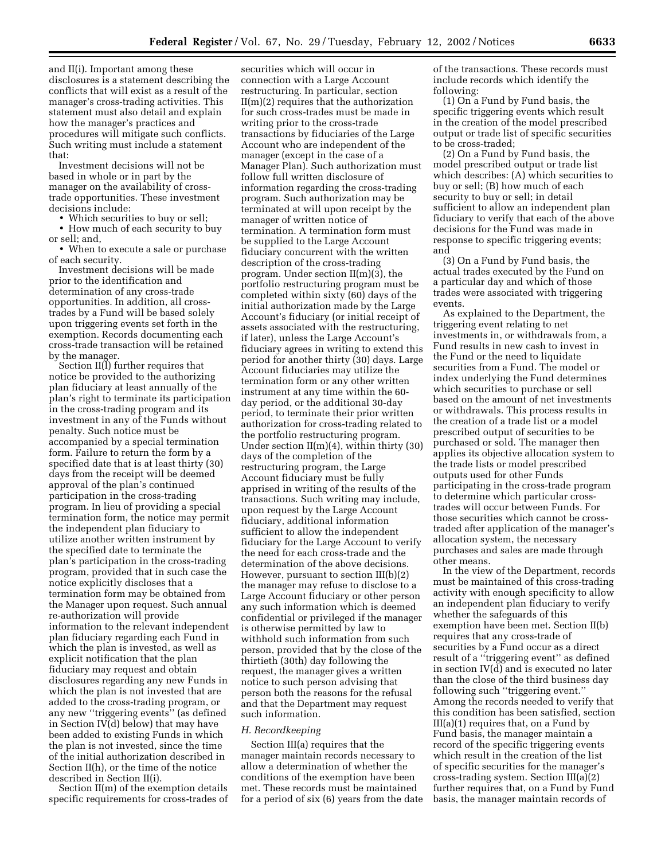and II(i). Important among these disclosures is a statement describing the conflicts that will exist as a result of the manager's cross-trading activities. This statement must also detail and explain how the manager's practices and procedures will mitigate such conflicts. Such writing must include a statement that:

Investment decisions will not be based in whole or in part by the manager on the availability of crosstrade opportunities. These investment decisions include:

• Which securities to buy or sell;

• How much of each security to buy or sell; and,

• When to execute a sale or purchase of each security.

Investment decisions will be made prior to the identification and determination of any cross-trade opportunities. In addition, all crosstrades by a Fund will be based solely upon triggering events set forth in the exemption. Records documenting each cross-trade transaction will be retained by the manager.

Section II(l) further requires that notice be provided to the authorizing plan fiduciary at least annually of the plan's right to terminate its participation in the cross-trading program and its investment in any of the Funds without penalty. Such notice must be accompanied by a special termination form. Failure to return the form by a specified date that is at least thirty (30) days from the receipt will be deemed approval of the plan's continued participation in the cross-trading program. In lieu of providing a special termination form, the notice may permit the independent plan fiduciary to utilize another written instrument by the specified date to terminate the plan's participation in the cross-trading program, provided that in such case the notice explicitly discloses that a termination form may be obtained from the Manager upon request. Such annual re-authorization will provide information to the relevant independent plan fiduciary regarding each Fund in which the plan is invested, as well as explicit notification that the plan fiduciary may request and obtain disclosures regarding any new Funds in which the plan is not invested that are added to the cross-trading program, or any new ''triggering events'' (as defined in Section IV(d) below) that may have been added to existing Funds in which the plan is not invested, since the time of the initial authorization described in Section II(h), or the time of the notice described in Section II(i).

Section II(m) of the exemption details specific requirements for cross-trades of

securities which will occur in connection with a Large Account restructuring. In particular, section II(m)(2) requires that the authorization for such cross-trades must be made in writing prior to the cross-trade transactions by fiduciaries of the Large Account who are independent of the manager (except in the case of a Manager Plan). Such authorization must follow full written disclosure of information regarding the cross-trading program. Such authorization may be terminated at will upon receipt by the manager of written notice of termination. A termination form must be supplied to the Large Account fiduciary concurrent with the written description of the cross-trading program. Under section II(m)(3), the portfolio restructuring program must be completed within sixty (60) days of the initial authorization made by the Large Account's fiduciary (or initial receipt of assets associated with the restructuring, if later), unless the Large Account's fiduciary agrees in writing to extend this period for another thirty (30) days. Large Account fiduciaries may utilize the termination form or any other written instrument at any time within the 60 day period, or the additional 30-day period, to terminate their prior written authorization for cross-trading related to the portfolio restructuring program. Under section  $II(m)(4)$ , within thirty (30) days of the completion of the restructuring program, the Large Account fiduciary must be fully apprised in writing of the results of the transactions. Such writing may include, upon request by the Large Account fiduciary, additional information sufficient to allow the independent fiduciary for the Large Account to verify the need for each cross-trade and the determination of the above decisions. However, pursuant to section III(b)(2) the manager may refuse to disclose to a Large Account fiduciary or other person any such information which is deemed confidential or privileged if the manager is otherwise permitted by law to withhold such information from such person, provided that by the close of the thirtieth (30th) day following the request, the manager gives a written notice to such person advising that person both the reasons for the refusal and that the Department may request such information.

#### *H. Recordkeeping*

Section III(a) requires that the manager maintain records necessary to allow a determination of whether the conditions of the exemption have been met. These records must be maintained for a period of six (6) years from the date of the transactions. These records must include records which identify the following:

(1) On a Fund by Fund basis, the specific triggering events which result in the creation of the model prescribed output or trade list of specific securities to be cross-traded;

(2) On a Fund by Fund basis, the model prescribed output or trade list which describes: (A) which securities to buy or sell; (B) how much of each security to buy or sell; in detail sufficient to allow an independent plan fiduciary to verify that each of the above decisions for the Fund was made in response to specific triggering events; and

(3) On a Fund by Fund basis, the actual trades executed by the Fund on a particular day and which of those trades were associated with triggering events.

As explained to the Department, the triggering event relating to net investments in, or withdrawals from, a Fund results in new cash to invest in the Fund or the need to liquidate securities from a Fund. The model or index underlying the Fund determines which securities to purchase or sell based on the amount of net investments or withdrawals. This process results in the creation of a trade list or a model prescribed output of securities to be purchased or sold. The manager then applies its objective allocation system to the trade lists or model prescribed outputs used for other Funds participating in the cross-trade program to determine which particular crosstrades will occur between Funds. For those securities which cannot be crosstraded after application of the manager's allocation system, the necessary purchases and sales are made through other means.

In the view of the Department, records must be maintained of this cross-trading activity with enough specificity to allow an independent plan fiduciary to verify whether the safeguards of this exemption have been met. Section II(b) requires that any cross-trade of securities by a Fund occur as a direct result of a ''triggering event'' as defined in section IV(d) and is executed no later than the close of the third business day following such ''triggering event.'' Among the records needed to verify that this condition has been satisfied, section III(a)(1) requires that, on a Fund by Fund basis, the manager maintain a record of the specific triggering events which result in the creation of the list of specific securities for the manager's cross-trading system. Section III(a)(2) further requires that, on a Fund by Fund basis, the manager maintain records of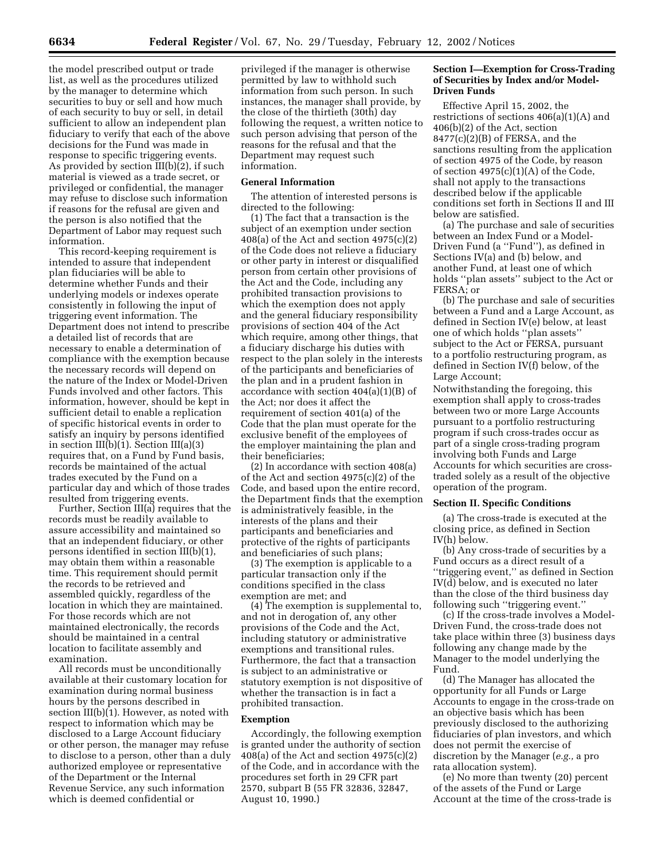the model prescribed output or trade list, as well as the procedures utilized by the manager to determine which securities to buy or sell and how much of each security to buy or sell, in detail sufficient to allow an independent plan fiduciary to verify that each of the above decisions for the Fund was made in response to specific triggering events. As provided by section III(b)(2), if such material is viewed as a trade secret, or privileged or confidential, the manager may refuse to disclose such information if reasons for the refusal are given and the person is also notified that the Department of Labor may request such information.

This record-keeping requirement is intended to assure that independent plan fiduciaries will be able to determine whether Funds and their underlying models or indexes operate consistently in following the input of triggering event information. The Department does not intend to prescribe a detailed list of records that are necessary to enable a determination of compliance with the exemption because the necessary records will depend on the nature of the Index or Model-Driven Funds involved and other factors. This information, however, should be kept in sufficient detail to enable a replication of specific historical events in order to satisfy an inquiry by persons identified in section III(b)(1). Section III(a)(3) requires that, on a Fund by Fund basis, records be maintained of the actual trades executed by the Fund on a particular day and which of those trades resulted from triggering events.

Further, Section III(a) requires that the records must be readily available to assure accessibility and maintained so that an independent fiduciary, or other persons identified in section III(b)(1), may obtain them within a reasonable time. This requirement should permit the records to be retrieved and assembled quickly, regardless of the location in which they are maintained. For those records which are not maintained electronically, the records should be maintained in a central location to facilitate assembly and examination.

All records must be unconditionally available at their customary location for examination during normal business hours by the persons described in section III(b)(1). However, as noted with respect to information which may be disclosed to a Large Account fiduciary or other person, the manager may refuse to disclose to a person, other than a duly authorized employee or representative of the Department or the Internal Revenue Service, any such information which is deemed confidential or

privileged if the manager is otherwise permitted by law to withhold such information from such person. In such instances, the manager shall provide, by the close of the thirtieth (30th) day following the request, a written notice to such person advising that person of the reasons for the refusal and that the Department may request such information.

#### **General Information**

The attention of interested persons is directed to the following:

(1) The fact that a transaction is the subject of an exemption under section 408(a) of the Act and section 4975(c)(2) of the Code does not relieve a fiduciary or other party in interest or disqualified person from certain other provisions of the Act and the Code, including any prohibited transaction provisions to which the exemption does not apply and the general fiduciary responsibility provisions of section 404 of the Act which require, among other things, that a fiduciary discharge his duties with respect to the plan solely in the interests of the participants and beneficiaries of the plan and in a prudent fashion in accordance with section 404(a)(1)(B) of the Act; nor does it affect the requirement of section 401(a) of the Code that the plan must operate for the exclusive benefit of the employees of the employer maintaining the plan and their beneficiaries;

(2) In accordance with section 408(a) of the Act and section 4975(c)(2) of the Code, and based upon the entire record, the Department finds that the exemption is administratively feasible, in the interests of the plans and their participants and beneficiaries and protective of the rights of participants and beneficiaries of such plans;

(3) The exemption is applicable to a particular transaction only if the conditions specified in the class exemption are met; and

(4) The exemption is supplemental to, and not in derogation of, any other provisions of the Code and the Act, including statutory or administrative exemptions and transitional rules. Furthermore, the fact that a transaction is subject to an administrative or statutory exemption is not dispositive of whether the transaction is in fact a prohibited transaction.

#### **Exemption**

Accordingly, the following exemption is granted under the authority of section 408(a) of the Act and section  $4975(c)(2)$ of the Code, and in accordance with the procedures set forth in 29 CFR part 2570, subpart B (55 FR 32836, 32847, August 10, 1990.)

# **Section I—Exemption for Cross-Trading of Securities by Index and/or Model-Driven Funds**

Effective April 15, 2002, the restrictions of sections 406(a)(1)(A) and 406(b)(2) of the Act, section 8477(c)(2)(B) of FERSA, and the sanctions resulting from the application of section 4975 of the Code, by reason of section 4975(c)(1)(A) of the Code, shall not apply to the transactions described below if the applicable conditions set forth in Sections II and III below are satisfied.

(a) The purchase and sale of securities between an Index Fund or a Model-Driven Fund (a ''Fund''), as defined in Sections IV(a) and (b) below, and another Fund, at least one of which holds ''plan assets'' subject to the Act or FERSA; or

(b) The purchase and sale of securities between a Fund and a Large Account, as defined in Section IV(e) below, at least one of which holds ''plan assets'' subject to the Act or FERSA, pursuant to a portfolio restructuring program, as defined in Section IV(f) below, of the Large Account;

Notwithstanding the foregoing, this exemption shall apply to cross-trades between two or more Large Accounts pursuant to a portfolio restructuring program if such cross-trades occur as part of a single cross-trading program involving both Funds and Large Accounts for which securities are crosstraded solely as a result of the objective operation of the program.

#### **Section II. Specific Conditions**

(a) The cross-trade is executed at the closing price, as defined in Section IV(h) below.

(b) Any cross-trade of securities by a Fund occurs as a direct result of a ''triggering event,'' as defined in Section IV(d) below, and is executed no later than the close of the third business day following such ''triggering event.''

(c) If the cross-trade involves a Model-Driven Fund, the cross-trade does not take place within three (3) business days following any change made by the Manager to the model underlying the Fund.

(d) The Manager has allocated the opportunity for all Funds or Large Accounts to engage in the cross-trade on an objective basis which has been previously disclosed to the authorizing fiduciaries of plan investors, and which does not permit the exercise of discretion by the Manager (*e.g.,* a pro rata allocation system).

(e) No more than twenty (20) percent of the assets of the Fund or Large Account at the time of the cross-trade is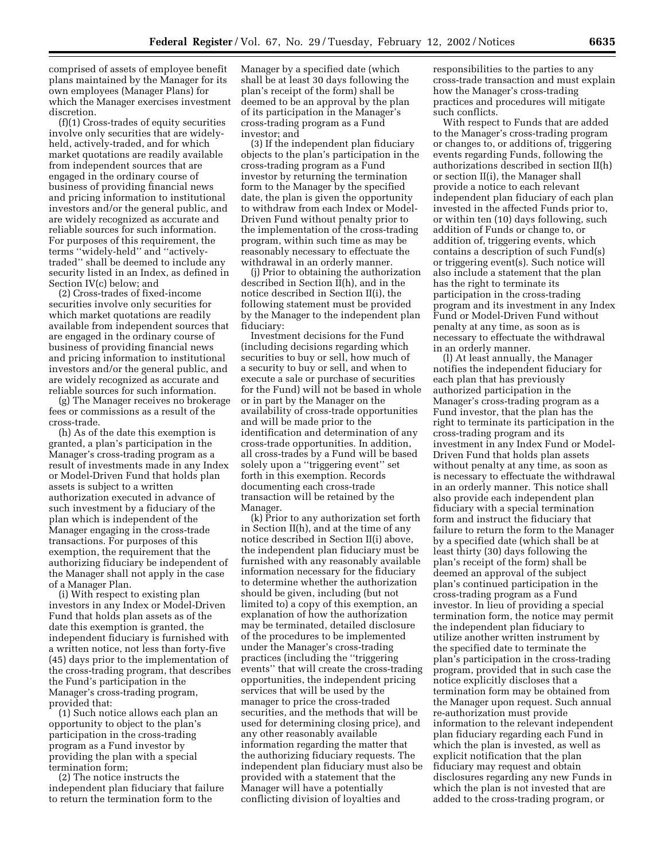comprised of assets of employee benefit plans maintained by the Manager for its own employees (Manager Plans) for which the Manager exercises investment discretion.

(f)(1) Cross-trades of equity securities involve only securities that are widelyheld, actively-traded, and for which market quotations are readily available from independent sources that are engaged in the ordinary course of business of providing financial news and pricing information to institutional investors and/or the general public, and are widely recognized as accurate and reliable sources for such information. For purposes of this requirement, the terms ''widely-held'' and ''activelytraded'' shall be deemed to include any security listed in an Index, as defined in Section IV(c) below; and

(2) Cross-trades of fixed-income securities involve only securities for which market quotations are readily available from independent sources that are engaged in the ordinary course of business of providing financial news and pricing information to institutional investors and/or the general public, and are widely recognized as accurate and reliable sources for such information.

(g) The Manager receives no brokerage fees or commissions as a result of the cross-trade.

(h) As of the date this exemption is granted, a plan's participation in the Manager's cross-trading program as a result of investments made in any Index or Model-Driven Fund that holds plan assets is subject to a written authorization executed in advance of such investment by a fiduciary of the plan which is independent of the Manager engaging in the cross-trade transactions. For purposes of this exemption, the requirement that the authorizing fiduciary be independent of the Manager shall not apply in the case of a Manager Plan.

(i) With respect to existing plan investors in any Index or Model-Driven Fund that holds plan assets as of the date this exemption is granted, the independent fiduciary is furnished with a written notice, not less than forty-five (45) days prior to the implementation of the cross-trading program, that describes the Fund's participation in the Manager's cross-trading program, provided that:

(1) Such notice allows each plan an opportunity to object to the plan's participation in the cross-trading program as a Fund investor by providing the plan with a special termination form;

(2) The notice instructs the independent plan fiduciary that failure to return the termination form to the

Manager by a specified date (which shall be at least 30 days following the plan's receipt of the form) shall be deemed to be an approval by the plan of its participation in the Manager's cross-trading program as a Fund investor; and

(3) If the independent plan fiduciary objects to the plan's participation in the cross-trading program as a Fund investor by returning the termination form to the Manager by the specified date, the plan is given the opportunity to withdraw from each Index or Model-Driven Fund without penalty prior to the implementation of the cross-trading program, within such time as may be reasonably necessary to effectuate the withdrawal in an orderly manner.

(j) Prior to obtaining the authorization described in Section II(h), and in the notice described in Section II(i), the following statement must be provided by the Manager to the independent plan fiduciary:

Investment decisions for the Fund (including decisions regarding which securities to buy or sell, how much of a security to buy or sell, and when to execute a sale or purchase of securities for the Fund) will not be based in whole or in part by the Manager on the availability of cross-trade opportunities and will be made prior to the identification and determination of any cross-trade opportunities. In addition, all cross-trades by a Fund will be based solely upon a ''triggering event'' set forth in this exemption. Records documenting each cross-trade transaction will be retained by the Manager.

(k) Prior to any authorization set forth in Section II(h), and at the time of any notice described in Section II(i) above, the independent plan fiduciary must be furnished with any reasonably available information necessary for the fiduciary to determine whether the authorization should be given, including (but not limited to) a copy of this exemption, an explanation of how the authorization may be terminated, detailed disclosure of the procedures to be implemented under the Manager's cross-trading practices (including the ''triggering events'' that will create the cross-trading opportunities, the independent pricing services that will be used by the manager to price the cross-traded securities, and the methods that will be used for determining closing price), and any other reasonably available information regarding the matter that the authorizing fiduciary requests. The independent plan fiduciary must also be provided with a statement that the Manager will have a potentially conflicting division of loyalties and

responsibilities to the parties to any cross-trade transaction and must explain how the Manager's cross-trading practices and procedures will mitigate such conflicts.

With respect to Funds that are added to the Manager's cross-trading program or changes to, or additions of, triggering events regarding Funds, following the authorizations described in section II(h) or section II(i), the Manager shall provide a notice to each relevant independent plan fiduciary of each plan invested in the affected Funds prior to, or within ten (10) days following, such addition of Funds or change to, or addition of, triggering events, which contains a description of such Fund(s) or triggering event(s). Such notice will also include a statement that the plan has the right to terminate its participation in the cross-trading program and its investment in any Index Fund or Model-Driven Fund without penalty at any time, as soon as is necessary to effectuate the withdrawal in an orderly manner.

(l) At least annually, the Manager notifies the independent fiduciary for each plan that has previously authorized participation in the Manager's cross-trading program as a Fund investor, that the plan has the right to terminate its participation in the cross-trading program and its investment in any Index Fund or Model-Driven Fund that holds plan assets without penalty at any time, as soon as is necessary to effectuate the withdrawal in an orderly manner. This notice shall also provide each independent plan fiduciary with a special termination form and instruct the fiduciary that failure to return the form to the Manager by a specified date (which shall be at least thirty (30) days following the plan's receipt of the form) shall be deemed an approval of the subject plan's continued participation in the cross-trading program as a Fund investor. In lieu of providing a special termination form, the notice may permit the independent plan fiduciary to utilize another written instrument by the specified date to terminate the plan's participation in the cross-trading program, provided that in such case the notice explicitly discloses that a termination form may be obtained from the Manager upon request. Such annual re-authorization must provide information to the relevant independent plan fiduciary regarding each Fund in which the plan is invested, as well as explicit notification that the plan fiduciary may request and obtain disclosures regarding any new Funds in which the plan is not invested that are added to the cross-trading program, or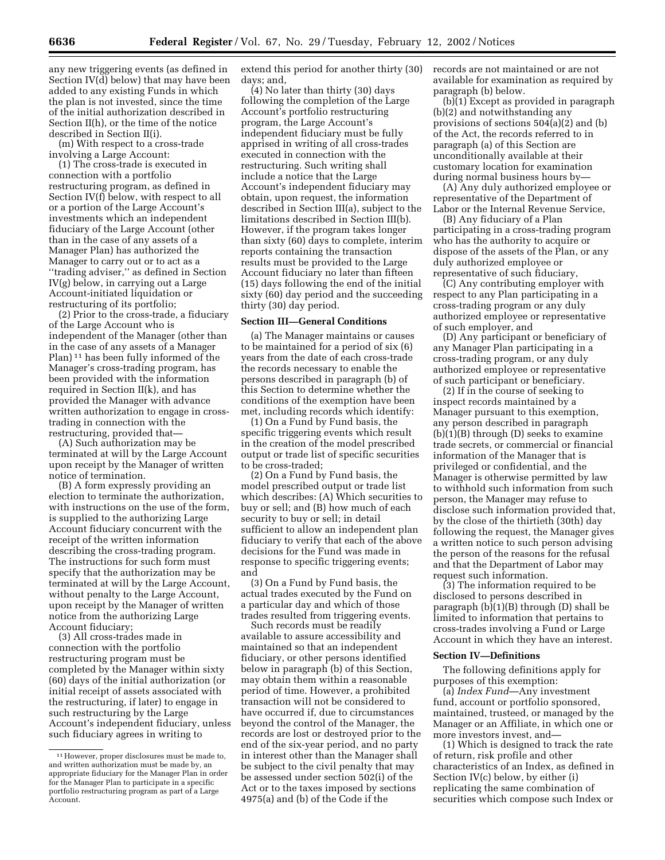any new triggering events (as defined in Section IV(d) below) that may have been added to any existing Funds in which the plan is not invested, since the time of the initial authorization described in Section II(h), or the time of the notice described in Section II(i).

(m) With respect to a cross-trade involving a Large Account:

(1) The cross-trade is executed in connection with a portfolio restructuring program, as defined in Section IV(f) below, with respect to all or a portion of the Large Account's investments which an independent fiduciary of the Large Account (other than in the case of any assets of a Manager Plan) has authorized the Manager to carry out or to act as a ''trading adviser,'' as defined in Section IV(g) below, in carrying out a Large Account-initiated liquidation or restructuring of its portfolio;

(2) Prior to the cross-trade, a fiduciary of the Large Account who is independent of the Manager (other than in the case of any assets of a Manager Plan) 11 has been fully informed of the Manager's cross-trading program, has been provided with the information required in Section II(k), and has provided the Manager with advance written authorization to engage in crosstrading in connection with the restructuring, provided that—

(A) Such authorization may be terminated at will by the Large Account upon receipt by the Manager of written notice of termination.

(B) A form expressly providing an election to terminate the authorization, with instructions on the use of the form, is supplied to the authorizing Large Account fiduciary concurrent with the receipt of the written information describing the cross-trading program. The instructions for such form must specify that the authorization may be terminated at will by the Large Account, without penalty to the Large Account, upon receipt by the Manager of written notice from the authorizing Large Account fiduciary;

(3) All cross-trades made in connection with the portfolio restructuring program must be completed by the Manager within sixty (60) days of the initial authorization (or initial receipt of assets associated with the restructuring, if later) to engage in such restructuring by the Large Account's independent fiduciary, unless such fiduciary agrees in writing to

extend this period for another thirty (30) days; and,

(4) No later than thirty (30) days following the completion of the Large Account's portfolio restructuring program, the Large Account's independent fiduciary must be fully apprised in writing of all cross-trades executed in connection with the restructuring. Such writing shall include a notice that the Large Account's independent fiduciary may obtain, upon request, the information described in Section III(a), subject to the limitations described in Section III(b). However, if the program takes longer than sixty (60) days to complete, interim reports containing the transaction results must be provided to the Large Account fiduciary no later than fifteen (15) days following the end of the initial sixty (60) day period and the succeeding thirty (30) day period.

# **Section III—General Conditions**

(a) The Manager maintains or causes to be maintained for a period of six (6) years from the date of each cross-trade the records necessary to enable the persons described in paragraph (b) of this Section to determine whether the conditions of the exemption have been met, including records which identify:

(1) On a Fund by Fund basis, the specific triggering events which result in the creation of the model prescribed output or trade list of specific securities to be cross-traded;

(2) On a Fund by Fund basis, the model prescribed output or trade list which describes: (A) Which securities to buy or sell; and (B) how much of each security to buy or sell; in detail sufficient to allow an independent plan fiduciary to verify that each of the above decisions for the Fund was made in response to specific triggering events; and

(3) On a Fund by Fund basis, the actual trades executed by the Fund on a particular day and which of those trades resulted from triggering events.

Such records must be readily available to assure accessibility and maintained so that an independent fiduciary, or other persons identified below in paragraph (b) of this Section, may obtain them within a reasonable period of time. However, a prohibited transaction will not be considered to have occurred if, due to circumstances beyond the control of the Manager, the records are lost or destroyed prior to the end of the six-year period, and no party in interest other than the Manager shall be subject to the civil penalty that may be assessed under section 502(i) of the Act or to the taxes imposed by sections 4975(a) and (b) of the Code if the

records are not maintained or are not available for examination as required by paragraph (b) below.

(b)(1) Except as provided in paragraph (b)(2) and notwithstanding any provisions of sections 504(a)(2) and (b) of the Act, the records referred to in paragraph (a) of this Section are unconditionally available at their customary location for examination during normal business hours by—

(A) Any duly authorized employee or representative of the Department of Labor or the Internal Revenue Service,

(B) Any fiduciary of a Plan participating in a cross-trading program who has the authority to acquire or dispose of the assets of the Plan, or any duly authorized employee or representative of such fiduciary,

(C) Any contributing employer with respect to any Plan participating in a cross-trading program or any duly authorized employee or representative of such employer, and

(D) Any participant or beneficiary of any Manager Plan participating in a cross-trading program, or any duly authorized employee or representative of such participant or beneficiary.

(2) If in the course of seeking to inspect records maintained by a Manager pursuant to this exemption, any person described in paragraph (b)(1)(B) through (D) seeks to examine trade secrets, or commercial or financial information of the Manager that is privileged or confidential, and the Manager is otherwise permitted by law to withhold such information from such person, the Manager may refuse to disclose such information provided that, by the close of the thirtieth (30th) day following the request, the Manager gives a written notice to such person advising the person of the reasons for the refusal and that the Department of Labor may request such information.

(3) The information required to be disclosed to persons described in paragraph (b)(1)(B) through (D) shall be limited to information that pertains to cross-trades involving a Fund or Large Account in which they have an interest.

#### **Section IV—Definitions**

The following definitions apply for purposes of this exemption:

(a) *Index Fund*—Any investment fund, account or portfolio sponsored, maintained, trusteed, or managed by the Manager or an Affiliate, in which one or more investors invest, and—

(1) Which is designed to track the rate of return, risk profile and other characteristics of an Index, as defined in Section IV(c) below, by either (i) replicating the same combination of securities which compose such Index or

<sup>11</sup>However, proper disclosures must be made to, and written authorization must be made by, an appropriate fiduciary for the Manager Plan in order for the Manager Plan to participate in a specific portfolio restructuring program as part of a Large Account.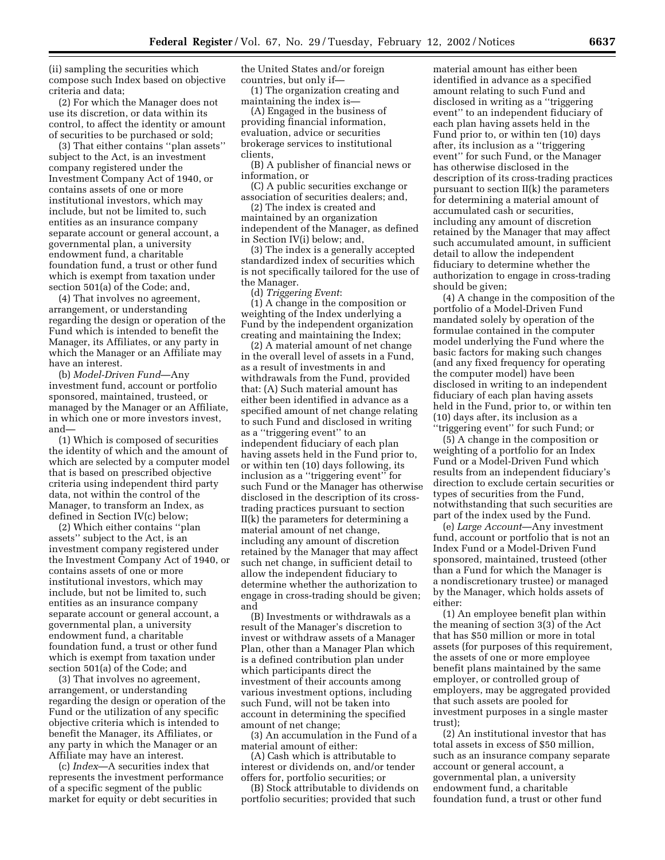(ii) sampling the securities which compose such Index based on objective criteria and data;

(2) For which the Manager does not use its discretion, or data within its control, to affect the identity or amount of securities to be purchased or sold;

(3) That either contains ''plan assets'' subject to the Act, is an investment company registered under the Investment Company Act of 1940, or contains assets of one or more institutional investors, which may include, but not be limited to, such entities as an insurance company separate account or general account, a governmental plan, a university endowment fund, a charitable foundation fund, a trust or other fund which is exempt from taxation under section 501(a) of the Code; and,

(4) That involves no agreement, arrangement, or understanding regarding the design or operation of the Fund which is intended to benefit the Manager, its Affiliates, or any party in which the Manager or an Affiliate may have an interest.

(b) *Model-Driven Fund*—Any investment fund, account or portfolio sponsored, maintained, trusteed, or managed by the Manager or an Affiliate, in which one or more investors invest, and—

(1) Which is composed of securities the identity of which and the amount of which are selected by a computer model that is based on prescribed objective criteria using independent third party data, not within the control of the Manager, to transform an Index, as defined in Section IV(c) below;

(2) Which either contains ''plan assets'' subject to the Act, is an investment company registered under the Investment Company Act of 1940, or contains assets of one or more institutional investors, which may include, but not be limited to, such entities as an insurance company separate account or general account, a governmental plan, a university endowment fund, a charitable foundation fund, a trust or other fund which is exempt from taxation under section 501(a) of the Code; and

(3) That involves no agreement, arrangement, or understanding regarding the design or operation of the Fund or the utilization of any specific objective criteria which is intended to benefit the Manager, its Affiliates, or any party in which the Manager or an Affiliate may have an interest.

(c) *Index*—A securities index that represents the investment performance of a specific segment of the public market for equity or debt securities in

the United States and/or foreign countries, but only if—

(1) The organization creating and maintaining the index is—

(A) Engaged in the business of providing financial information, evaluation, advice or securities brokerage services to institutional clients,

(B) A publisher of financial news or information, or

(C) A public securities exchange or association of securities dealers; and,

(2) The index is created and maintained by an organization independent of the Manager, as defined in Section IV(i) below; and,

(3) The index is a generally accepted standardized index of securities which is not specifically tailored for the use of the Manager.

(d) *Triggering Event*:

(1) A change in the composition or weighting of the Index underlying a Fund by the independent organization creating and maintaining the Index;

(2) A material amount of net change in the overall level of assets in a Fund, as a result of investments in and withdrawals from the Fund, provided that: (A) Such material amount has either been identified in advance as a specified amount of net change relating to such Fund and disclosed in writing as a ''triggering event'' to an independent fiduciary of each plan having assets held in the Fund prior to, or within ten (10) days following, its inclusion as a ''triggering event'' for such Fund or the Manager has otherwise disclosed in the description of its crosstrading practices pursuant to section II(k) the parameters for determining a material amount of net change, including any amount of discretion retained by the Manager that may affect such net change, in sufficient detail to allow the independent fiduciary to determine whether the authorization to engage in cross-trading should be given; and

(B) Investments or withdrawals as a result of the Manager's discretion to invest or withdraw assets of a Manager Plan, other than a Manager Plan which is a defined contribution plan under which participants direct the investment of their accounts among various investment options, including such Fund, will not be taken into account in determining the specified amount of net change;

(3) An accumulation in the Fund of a material amount of either:

(A) Cash which is attributable to interest or dividends on, and/or tender offers for, portfolio securities; or

(B) Stock attributable to dividends on portfolio securities; provided that such

material amount has either been identified in advance as a specified amount relating to such Fund and disclosed in writing as a ''triggering event'' to an independent fiduciary of each plan having assets held in the Fund prior to, or within ten (10) days after, its inclusion as a ''triggering event'' for such Fund, or the Manager has otherwise disclosed in the description of its cross-trading practices pursuant to section II(k) the parameters for determining a material amount of accumulated cash or securities, including any amount of discretion retained by the Manager that may affect such accumulated amount, in sufficient detail to allow the independent fiduciary to determine whether the authorization to engage in cross-trading should be given;

(4) A change in the composition of the portfolio of a Model-Driven Fund mandated solely by operation of the formulae contained in the computer model underlying the Fund where the basic factors for making such changes (and any fixed frequency for operating the computer model) have been disclosed in writing to an independent fiduciary of each plan having assets held in the Fund, prior to, or within ten (10) days after, its inclusion as a ''triggering event'' for such Fund; or

(5) A change in the composition or weighting of a portfolio for an Index Fund or a Model-Driven Fund which results from an independent fiduciary's direction to exclude certain securities or types of securities from the Fund, notwithstanding that such securities are part of the index used by the Fund.

(e) *Large Account*—Any investment fund, account or portfolio that is not an Index Fund or a Model-Driven Fund sponsored, maintained, trusteed (other than a Fund for which the Manager is a nondiscretionary trustee) or managed by the Manager, which holds assets of either:

(1) An employee benefit plan within the meaning of section 3(3) of the Act that has \$50 million or more in total assets (for purposes of this requirement, the assets of one or more employee benefit plans maintained by the same employer, or controlled group of employers, may be aggregated provided that such assets are pooled for investment purposes in a single master trust);

(2) An institutional investor that has total assets in excess of \$50 million, such as an insurance company separate account or general account, a governmental plan, a university endowment fund, a charitable foundation fund, a trust or other fund